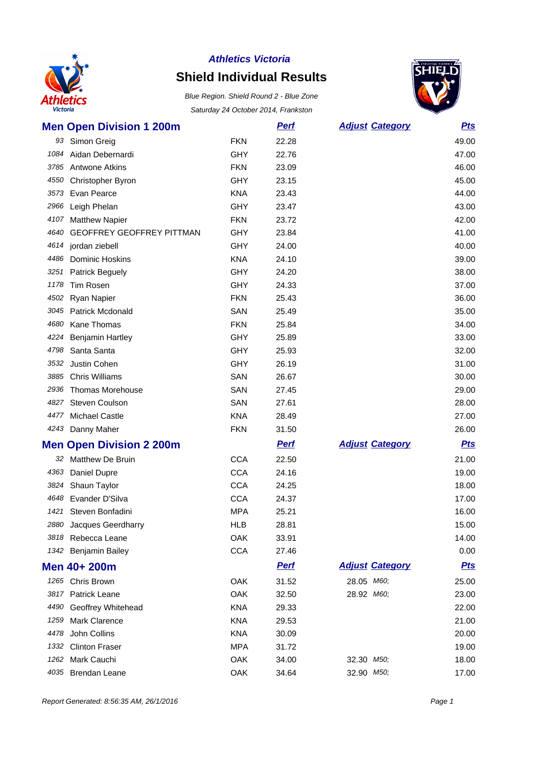

# **Shield Individual Results**



|      | <b>Men Open Division 1 200m</b> |            | <b>Perf</b> | <b>Adjust Category</b> | <u>Pts</u> |
|------|---------------------------------|------------|-------------|------------------------|------------|
|      | 93 Simon Greig                  | <b>FKN</b> | 22.28       |                        | 49.00      |
|      | 1084 Aidan Debernardi           | <b>GHY</b> | 22.76       |                        | 47.00      |
|      | 3785 Antwone Atkins             | <b>FKN</b> | 23.09       |                        | 46.00      |
| 4550 | Christopher Byron               | <b>GHY</b> | 23.15       |                        | 45.00      |
|      | 3573 Evan Pearce                | <b>KNA</b> | 23.43       |                        | 44.00      |
|      | 2966 Leigh Phelan               | <b>GHY</b> | 23.47       |                        | 43.00      |
|      | 4107 Matthew Napier             | <b>FKN</b> | 23.72       |                        | 42.00      |
|      | 4640 GEOFFREY GEOFFREY PITTMAN  | <b>GHY</b> | 23.84       |                        | 41.00      |
|      | 4614 jordan ziebell             | <b>GHY</b> | 24.00       |                        | 40.00      |
|      | 4486 Dominic Hoskins            | <b>KNA</b> | 24.10       |                        | 39.00      |
|      | 3251 Patrick Beguely            | <b>GHY</b> | 24.20       |                        | 38.00      |
| 1178 | Tim Rosen                       | <b>GHY</b> | 24.33       |                        | 37.00      |
|      | 4502 Ryan Napier                | <b>FKN</b> | 25.43       |                        | 36.00      |
|      | 3045 Patrick Mcdonald           | <b>SAN</b> | 25.49       |                        | 35.00      |
| 4680 | <b>Kane Thomas</b>              | <b>FKN</b> | 25.84       |                        | 34.00      |
| 4224 | <b>Benjamin Hartley</b>         | <b>GHY</b> | 25.89       |                        | 33.00      |
|      | 4798 Santa Santa                | <b>GHY</b> | 25.93       |                        | 32.00      |
| 3532 | Justin Cohen                    | <b>GHY</b> | 26.19       |                        | 31.00      |
| 3885 | <b>Chris Williams</b>           | SAN        | 26.67       |                        | 30.00      |
|      | 2936 Thomas Morehouse           | SAN        | 27.45       |                        | 29.00      |
|      | 4827 Steven Coulson             | SAN        | 27.61       |                        | 28.00      |
|      | 4477 Michael Castle             | <b>KNA</b> | 28.49       |                        | 27.00      |
|      | 4243 Danny Maher                | <b>FKN</b> | 31.50       |                        | 26.00      |
|      | <b>Men Open Division 2 200m</b> |            | <b>Perf</b> | <b>Adjust Category</b> | <b>Pts</b> |
|      | 32 Matthew De Bruin             | <b>CCA</b> | 22.50       |                        | 21.00      |
|      | 4363 Daniel Dupre               | <b>CCA</b> | 24.16       |                        | 19.00      |
| 3824 | Shaun Taylor                    | <b>CCA</b> | 24.25       |                        | 18.00      |
|      | 4648 Evander D'Silva            | <b>CCA</b> | 24.37       |                        | 17.00      |
|      | 1421 Steven Bonfadini           | <b>MPA</b> | 25.21       |                        | 16.00      |
|      | 2880 Jacques Geerdharry         | <b>HLB</b> | 28.81       |                        | 15.00      |
|      | 3818 Rebecca Leane              | OAK        | 33.91       |                        | 14.00      |
|      | 1342 Benjamin Bailey            | <b>CCA</b> | 27.46       |                        | 0.00       |
|      | Men 40+ 200m                    |            | <u>Perf</u> | <b>Adjust Category</b> | <u>Pts</u> |
|      | 1265 Chris Brown                | <b>OAK</b> | 31.52       | 28.05 M60;             | 25.00      |
|      | 3817 Patrick Leane              | OAK        | 32.50       | 28.92 M60;             | 23.00      |
| 4490 | <b>Geoffrey Whitehead</b>       | <b>KNA</b> | 29.33       |                        | 22.00      |
| 1259 | <b>Mark Clarence</b>            | <b>KNA</b> | 29.53       |                        | 21.00      |
| 4478 | John Collins                    | <b>KNA</b> | 30.09       |                        | 20.00      |
| 1332 | <b>Clinton Fraser</b>           | <b>MPA</b> | 31.72       |                        | 19.00      |
|      | 1262 Mark Cauchi                | OAK        | 34.00       | 32.30 M50;             | 18.00      |
|      | 4035 Brendan Leane              | OAK        | 34.64       | 32.90 M50;             | 17.00      |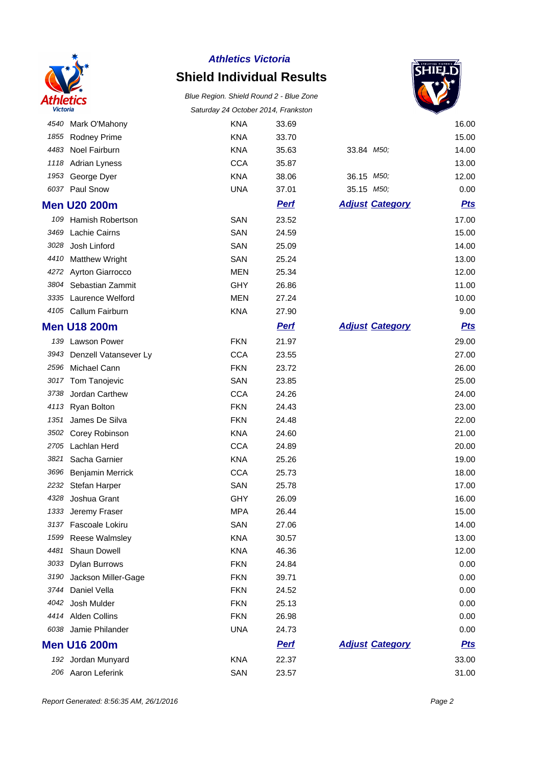

# **Shield Individual Results**



|      |                         |            |             |                        | ▽          |
|------|-------------------------|------------|-------------|------------------------|------------|
| 4540 | Mark O'Mahony           | <b>KNA</b> | 33.69       |                        | 16.00      |
| 1855 | <b>Rodney Prime</b>     | <b>KNA</b> | 33.70       |                        | 15.00      |
| 4483 | Noel Fairburn           | <b>KNA</b> | 35.63       | 33.84 M50;             | 14.00      |
| 1118 | <b>Adrian Lyness</b>    | <b>CCA</b> | 35.87       |                        | 13.00      |
| 1953 | George Dyer             | <b>KNA</b> | 38.06       | 36.15 M50;             | 12.00      |
| 6037 | Paul Snow               | <b>UNA</b> | 37.01       | 35.15 M50;             | 0.00       |
|      | <b>Men U20 200m</b>     |            | <b>Perf</b> | <b>Adjust Category</b> | <b>Pts</b> |
| 109  | Hamish Robertson        | SAN        | 23.52       |                        | 17.00      |
| 3469 | Lachie Cairns           | SAN        | 24.59       |                        | 15.00      |
| 3028 | Josh Linford            | SAN        | 25.09       |                        | 14.00      |
| 4410 | <b>Matthew Wright</b>   | SAN        | 25.24       |                        | 13.00      |
| 4272 | Ayrton Giarrocco        | <b>MEN</b> | 25.34       |                        | 12.00      |
| 3804 | Sebastian Zammit        | <b>GHY</b> | 26.86       |                        | 11.00      |
| 3335 | Laurence Welford        | <b>MEN</b> | 27.24       |                        | 10.00      |
|      | 4105 Callum Fairburn    | <b>KNA</b> | 27.90       |                        | 9.00       |
|      | <b>Men U18 200m</b>     |            | <b>Pert</b> | <b>Adjust Category</b> | <b>Pts</b> |
|      | 139 Lawson Power        | <b>FKN</b> | 21.97       |                        | 29.00      |
| 3943 | Denzell Vatansever Ly   | <b>CCA</b> | 23.55       |                        | 27.00      |
| 2596 | Michael Cann            | <b>FKN</b> | 23.72       |                        | 26.00      |
| 3017 | Tom Tanojevic           | SAN        | 23.85       |                        | 25.00      |
| 3738 | Jordan Carthew          | <b>CCA</b> | 24.26       |                        | 24.00      |
| 4113 | Ryan Bolton             | <b>FKN</b> | 24.43       |                        | 23.00      |
| 1351 | James De Silva          | <b>FKN</b> | 24.48       |                        | 22.00      |
| 3502 | Corey Robinson          | <b>KNA</b> | 24.60       |                        | 21.00      |
| 2705 | Lachlan Herd            | <b>CCA</b> | 24.89       |                        | 20.00      |
| 3821 | Sacha Garnier           | <b>KNA</b> | 25.26       |                        | 19.00      |
| 3696 | <b>Benjamin Merrick</b> | <b>CCA</b> | 25.73       |                        | 18.00      |
| 2232 | Stefan Harper           | SAN        | 25.78       |                        | 17.00      |
| 4328 | Joshua Grant            | GHY        | 26.09       |                        | 16.00      |
| 1333 | Jeremy Fraser           | <b>MPA</b> | 26.44       |                        | 15.00      |
| 3137 | Fascoale Lokiru         | SAN        | 27.06       |                        | 14.00      |
| 1599 | <b>Reese Walmsley</b>   | <b>KNA</b> | 30.57       |                        | 13.00      |
| 4481 | Shaun Dowell            | <b>KNA</b> | 46.36       |                        | 12.00      |
| 3033 | <b>Dylan Burrows</b>    | <b>FKN</b> | 24.84       |                        | 0.00       |
| 3190 | Jackson Miller-Gage     | <b>FKN</b> | 39.71       |                        | 0.00       |
| 3744 | Daniel Vella            | <b>FKN</b> | 24.52       |                        | 0.00       |
| 4042 | Josh Mulder             | <b>FKN</b> | 25.13       |                        | 0.00       |
| 4414 | <b>Alden Collins</b>    | <b>FKN</b> | 26.98       |                        | 0.00       |
| 6038 | Jamie Philander         | <b>UNA</b> | 24.73       |                        | 0.00       |
|      | <b>Men U16 200m</b>     |            | <u>Perf</u> | <b>Adjust Category</b> | <u>Pts</u> |
|      | 192 Jordan Munyard      | <b>KNA</b> | 22.37       |                        | 33.00      |
|      | 206 Aaron Leferink      | SAN        | 23.57       |                        | 31.00      |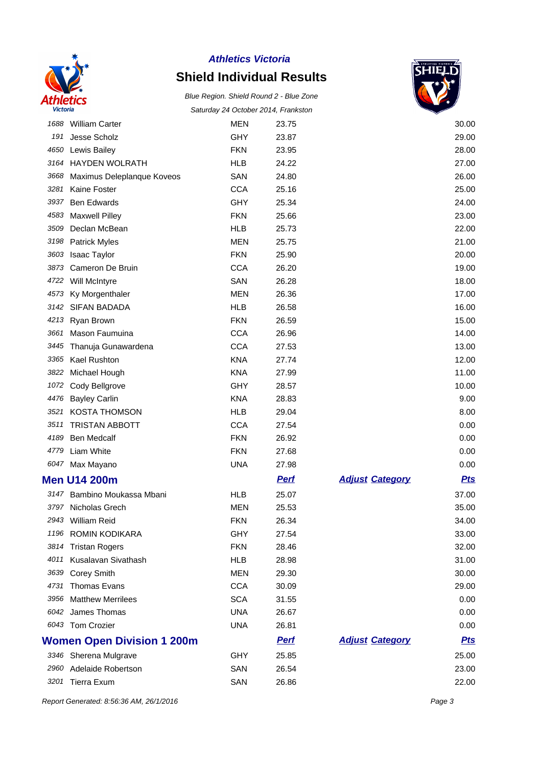

# **Shield Individual Results**

Blue Region. Shield Round 2 - Blue Zone Saturday 24 October 2014, Frankston



| 1688 | <b>William Carter</b>             | <b>MEN</b> | 23.75       |                        | 30.00      |
|------|-----------------------------------|------------|-------------|------------------------|------------|
| 191  | Jesse Scholz                      | GHY        | 23.87       |                        | 29.00      |
| 4650 | Lewis Bailey                      | <b>FKN</b> | 23.95       |                        | 28.00      |
| 3164 | <b>HAYDEN WOLRATH</b>             | <b>HLB</b> | 24.22       |                        | 27.00      |
| 3668 | Maximus Deleplanque Koveos        | SAN        | 24.80       |                        | 26.00      |
| 3281 | Kaine Foster                      | <b>CCA</b> | 25.16       |                        | 25.00      |
| 3937 | <b>Ben Edwards</b>                | GHY        | 25.34       |                        | 24.00      |
| 4583 | <b>Maxwell Pilley</b>             | <b>FKN</b> | 25.66       |                        | 23.00      |
| 3509 | Declan McBean                     | <b>HLB</b> | 25.73       |                        | 22.00      |
| 3198 | <b>Patrick Myles</b>              | <b>MEN</b> | 25.75       |                        | 21.00      |
| 3603 | <b>Isaac Taylor</b>               | <b>FKN</b> | 25.90       |                        | 20.00      |
| 3873 | Cameron De Bruin                  | <b>CCA</b> | 26.20       |                        | 19.00      |
|      | 4722 Will McIntyre                | SAN        | 26.28       |                        | 18.00      |
| 4573 | Ky Morgenthaler                   | <b>MEN</b> | 26.36       |                        | 17.00      |
| 3142 | <b>SIFAN BADADA</b>               | <b>HLB</b> | 26.58       |                        | 16.00      |
| 4213 | Ryan Brown                        | <b>FKN</b> | 26.59       |                        | 15.00      |
| 3661 | Mason Faumuina                    | <b>CCA</b> | 26.96       |                        | 14.00      |
| 3445 | Thanuja Gunawardena               | <b>CCA</b> | 27.53       |                        | 13.00      |
| 3365 | <b>Kael Rushton</b>               | <b>KNA</b> | 27.74       |                        | 12.00      |
| 3822 | Michael Hough                     | <b>KNA</b> | 27.99       |                        | 11.00      |
|      | 1072 Cody Bellgrove               | GHY        | 28.57       |                        | 10.00      |
| 4476 | <b>Bayley Carlin</b>              | <b>KNA</b> | 28.83       |                        | 9.00       |
| 3521 | <b>KOSTA THOMSON</b>              | <b>HLB</b> | 29.04       |                        | 8.00       |
| 3511 | <b>TRISTAN ABBOTT</b>             | <b>CCA</b> | 27.54       |                        | 0.00       |
| 4189 | <b>Ben Medcalf</b>                | <b>FKN</b> | 26.92       |                        | 0.00       |
| 4779 | Liam White                        | <b>FKN</b> | 27.68       |                        | 0.00       |
| 6047 | Max Mayano                        | <b>UNA</b> | 27.98       |                        | 0.00       |
|      | <b>Men U14 200m</b>               |            | <b>Perf</b> | <b>Adjust Category</b> | <b>Pts</b> |
|      | 3147 Bambino Moukassa Mbani       | <b>HLB</b> | 25.07       |                        | 37.00      |
|      | 3797 Nicholas Grech               | <b>MEN</b> | 25.53       |                        | 35.00      |
|      | 2943 William Reid                 | <b>FKN</b> | 26.34       |                        | 34.00      |
|      | 1196 ROMIN KODIKARA               | GHY        | 27.54       |                        | 33.00      |
|      | 3814 Tristan Rogers               | <b>FKN</b> | 28.46       |                        | 32.00      |
|      | 4011 Kusalavan Sivathash          | <b>HLB</b> | 28.98       |                        | 31.00      |
| 3639 | <b>Corey Smith</b>                | <b>MEN</b> | 29.30       |                        | 30.00      |
| 4731 | <b>Thomas Evans</b>               | <b>CCA</b> | 30.09       |                        | 29.00      |
| 3956 | <b>Matthew Merrilees</b>          | <b>SCA</b> | 31.55       |                        | 0.00       |
|      | 6042 James Thomas                 | <b>UNA</b> | 26.67       |                        | 0.00       |
|      | 6043 Tom Crozier                  | <b>UNA</b> | 26.81       |                        | 0.00       |
|      | <b>Women Open Division 1 200m</b> |            | <b>Perf</b> | <b>Adjust Category</b> | <u>Pts</u> |
|      | 3346 Sherena Mulgrave             | GHY        | 25.85       |                        | 25.00      |
|      | 2960 Adelaide Robertson           | SAN        | 26.54       |                        | 23.00      |
|      | 3201 Tierra Exum                  | SAN        | 26.86       |                        | 22.00      |

Report Generated: 8:56:36 AM, 26/1/2016 **Page 3**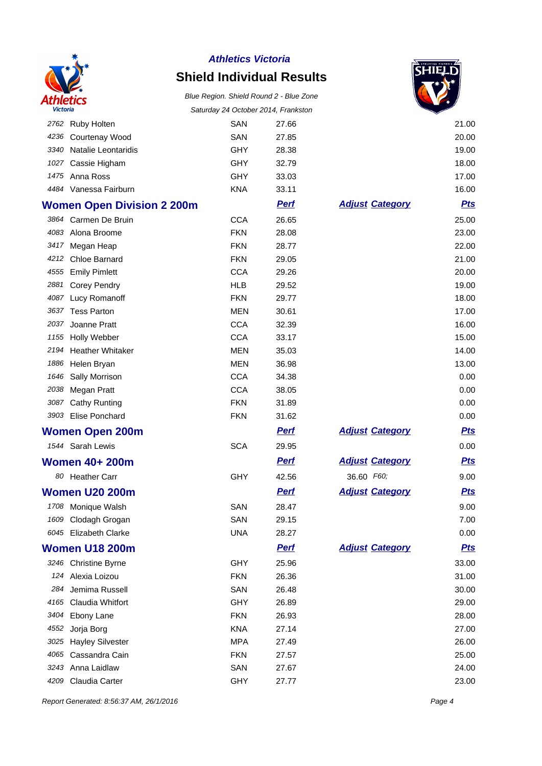

# **Shield Individual Results**

#### Blue Region. Shield Round 2 - Blue Zone Saturday 24 October 2014, Frankston



|      |                                   |            | Saluruay 24 October 2014, Fiankston |                        |            |
|------|-----------------------------------|------------|-------------------------------------|------------------------|------------|
|      | 2762 Ruby Holten                  | SAN        | 27.66                               |                        | 21.00      |
|      | 4236 Courtenay Wood               | SAN        | 27.85                               |                        | 20.00      |
|      | 3340 Natalie Leontaridis          | GHY        | 28.38                               |                        | 19.00      |
|      | 1027 Cassie Higham                | GHY        | 32.79                               |                        | 18.00      |
|      | 1475 Anna Ross                    | GHY        | 33.03                               |                        | 17.00      |
|      | 4484 Vanessa Fairburn             | <b>KNA</b> | 33.11                               |                        | 16.00      |
|      | <b>Women Open Division 2 200m</b> |            | <b>Perf</b>                         | <b>Adjust Category</b> | <b>Pts</b> |
|      | 3864 Carmen De Bruin              | <b>CCA</b> | 26.65                               |                        | 25.00      |
|      | 4083 Alona Broome                 | <b>FKN</b> | 28.08                               |                        | 23.00      |
|      | 3417 Megan Heap                   | <b>FKN</b> | 28.77                               |                        | 22.00      |
|      | 4212 Chloe Barnard                | <b>FKN</b> | 29.05                               |                        | 21.00      |
|      | 4555 Emily Pimlett                | <b>CCA</b> | 29.26                               |                        | 20.00      |
|      | 2881 Corey Pendry                 | <b>HLB</b> | 29.52                               |                        | 19.00      |
|      | 4087 Lucy Romanoff                | <b>FKN</b> | 29.77                               |                        | 18.00      |
|      | 3637 Tess Parton                  | <b>MEN</b> | 30.61                               |                        | 17.00      |
| 2037 | Joanne Pratt                      | <b>CCA</b> | 32.39                               |                        | 16.00      |
|      | 1155 Holly Webber                 | <b>CCA</b> | 33.17                               |                        | 15.00      |
| 2194 | <b>Heather Whitaker</b>           | <b>MEN</b> | 35.03                               |                        | 14.00      |
|      | 1886 Helen Bryan                  | <b>MEN</b> | 36.98                               |                        | 13.00      |
|      | 1646 Sally Morrison               | <b>CCA</b> | 34.38                               |                        | 0.00       |
|      | 2038 Megan Pratt                  | <b>CCA</b> | 38.05                               |                        | 0.00       |
|      | 3087 Cathy Runting                | <b>FKN</b> | 31.89                               |                        | 0.00       |
|      | 3903 Elise Ponchard               | <b>FKN</b> | 31.62                               |                        | 0.00       |
|      | <b>Women Open 200m</b>            |            | <b>Perf</b>                         | <b>Adjust Category</b> | <u>Pts</u> |
|      | 1544 Sarah Lewis                  | <b>SCA</b> | 29.95                               |                        | 0.00       |
|      | <b>Women 40+ 200m</b>             |            | <b>Perf</b>                         | <b>Adjust Category</b> | <u>Pts</u> |
|      | 80 Heather Carr                   | GHY        | 42.56                               | 36.60 F60;             | 9.00       |
|      | <b>Women U20 200m</b>             |            | <u>Perf</u>                         | <b>Adjust Category</b> | <b>Pts</b> |
|      | 1708 Monique Walsh                | SAN        | 28.47                               |                        | 9.00       |
|      | 1609 Clodagh Grogan               | SAN        | 29.15                               |                        | 7.00       |
|      | 6045 Elizabeth Clarke             | <b>UNA</b> | 28.27                               |                        | 0.00       |
|      | <b>Women U18 200m</b>             |            | <b>Pert</b>                         | <b>Adjust Category</b> | <b>Pts</b> |
|      | 3246 Christine Byrne              | GHY        | 25.96                               |                        | 33.00      |
| 124  | Alexia Loizou                     | <b>FKN</b> | 26.36                               |                        | 31.00      |
| 284  | Jemima Russell                    | SAN        | 26.48                               |                        | 30.00      |
|      | 4165 Claudia Whitfort             | GHY        | 26.89                               |                        | 29.00      |
| 3404 | Ebony Lane                        | <b>FKN</b> | 26.93                               |                        | 28.00      |
| 4552 | Jorja Borg                        | <b>KNA</b> | 27.14                               |                        | 27.00      |
| 3025 | <b>Hayley Silvester</b>           | <b>MPA</b> | 27.49                               |                        | 26.00      |
|      | 4065 Cassandra Cain               | <b>FKN</b> | 27.57                               |                        | 25.00      |
|      | 3243 Anna Laidlaw                 | SAN        | 27.67                               |                        | 24.00      |
| 4209 | Claudia Carter                    | GHY        | 27.77                               |                        | 23.00      |

Report Generated: 8:56:37 AM, 26/1/2016 **Page 4**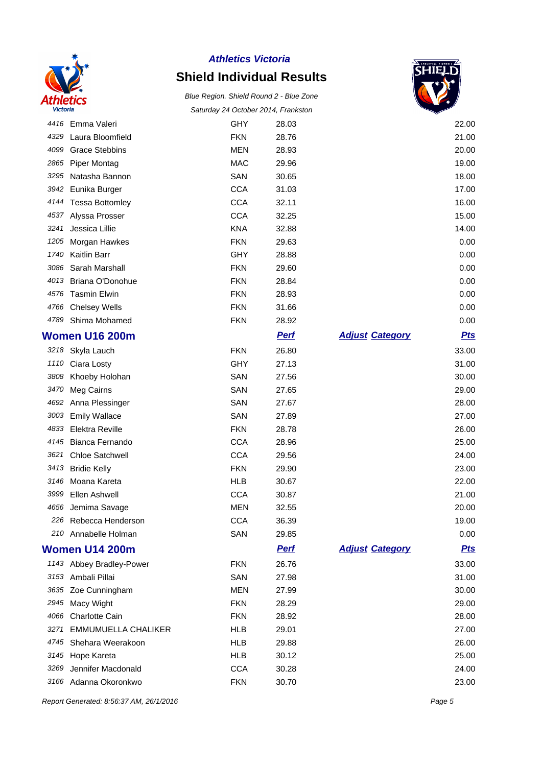

### **Shield Individual Results**

Blue Region. Shield Round 2 - Blue Zone Saturday 24 October 2014, Frankston



|      | 4416 Emma Valeri           | <b>GHY</b> | 28.03       |                        | 22.00      |
|------|----------------------------|------------|-------------|------------------------|------------|
| 4329 | Laura Bloomfield           | <b>FKN</b> | 28.76       |                        | 21.00      |
| 4099 | <b>Grace Stebbins</b>      | <b>MEN</b> | 28.93       |                        | 20.00      |
| 2865 | <b>Piper Montag</b>        | <b>MAC</b> | 29.96       |                        | 19.00      |
| 3295 | Natasha Bannon             | SAN        | 30.65       |                        | 18.00      |
| 3942 | Eunika Burger              | <b>CCA</b> | 31.03       |                        | 17.00      |
| 4144 | <b>Tessa Bottomley</b>     | <b>CCA</b> | 32.11       |                        | 16.00      |
| 4537 | Alyssa Prosser             | <b>CCA</b> | 32.25       |                        | 15.00      |
| 3241 | Jessica Lillie             | <b>KNA</b> | 32.88       |                        | 14.00      |
| 1205 | Morgan Hawkes              | <b>FKN</b> | 29.63       |                        | 0.00       |
| 1740 | <b>Kaitlin Barr</b>        | <b>GHY</b> | 28.88       |                        | 0.00       |
| 3086 | Sarah Marshall             | <b>FKN</b> | 29.60       |                        | 0.00       |
| 4013 | Briana O'Donohue           | <b>FKN</b> | 28.84       |                        | 0.00       |
| 4576 | <b>Tasmin Elwin</b>        | <b>FKN</b> | 28.93       |                        | 0.00       |
| 4766 | <b>Chelsey Wells</b>       | <b>FKN</b> | 31.66       |                        | 0.00       |
| 4789 | Shima Mohamed              | <b>FKN</b> | 28.92       |                        | 0.00       |
|      | <b>Women U16 200m</b>      |            | <b>Perf</b> | <b>Adjust Category</b> | <u>Pts</u> |
| 3218 | Skyla Lauch                | <b>FKN</b> | 26.80       |                        | 33.00      |
| 1110 | Ciara Losty                | GHY        | 27.13       |                        | 31.00      |
| 3808 | Khoeby Holohan             | SAN        | 27.56       |                        | 30.00      |
| 3470 | Meg Cairns                 | SAN        | 27.65       |                        | 29.00      |
| 4692 | Anna Plessinger            | SAN        | 27.67       |                        | 28.00      |
| 3003 | <b>Emily Wallace</b>       | SAN        | 27.89       |                        | 27.00      |
| 4833 | Elektra Reville            | <b>FKN</b> | 28.78       |                        | 26.00      |
| 4145 | Bianca Fernando            | <b>CCA</b> | 28.96       |                        | 25.00      |
| 3621 | <b>Chloe Satchwell</b>     | <b>CCA</b> | 29.56       |                        | 24.00      |
| 3413 | <b>Bridie Kelly</b>        | <b>FKN</b> | 29.90       |                        | 23.00      |
| 3146 | Moana Kareta               | <b>HLB</b> | 30.67       |                        | 22.00      |
| 3999 | Ellen Ashwell              | <b>CCA</b> | 30.87       |                        | 21.00      |
| 4656 | Jemima Savage              | <b>MEN</b> | 32.55       |                        | 20.00      |
| 226  | Rebecca Henderson          | <b>CCA</b> | 36.39       |                        | 19.00      |
|      | 210 Annabelle Holman       | SAN        | 29.85       |                        | 0.00       |
|      | <b>Women U14 200m</b>      |            | <b>Perf</b> | <b>Adjust Category</b> | <b>Pts</b> |
|      | 1143 Abbey Bradley-Power   | <b>FKN</b> | 26.76       |                        | 33.00      |
| 3153 | Ambali Pillai              | SAN        | 27.98       |                        | 31.00      |
| 3635 | Zoe Cunningham             | MEN        | 27.99       |                        | 30.00      |
| 2945 | Macy Wight                 | <b>FKN</b> | 28.29       |                        | 29.00      |
| 4066 | <b>Charlotte Cain</b>      | <b>FKN</b> | 28.92       |                        | 28.00      |
| 3271 | <b>EMMUMUELLA CHALIKER</b> | <b>HLB</b> | 29.01       |                        | 27.00      |
| 4745 | Shehara Weerakoon          | <b>HLB</b> | 29.88       |                        | 26.00      |
| 3145 | Hope Kareta                | HLB        | 30.12       |                        | 25.00      |
| 3269 | Jennifer Macdonald         | <b>CCA</b> | 30.28       |                        | 24.00      |
|      | 3166 Adanna Okoronkwo      | <b>FKN</b> | 30.70       |                        | 23.00      |

Report Generated: 8:56:37 AM, 26/1/2016 **Page 5**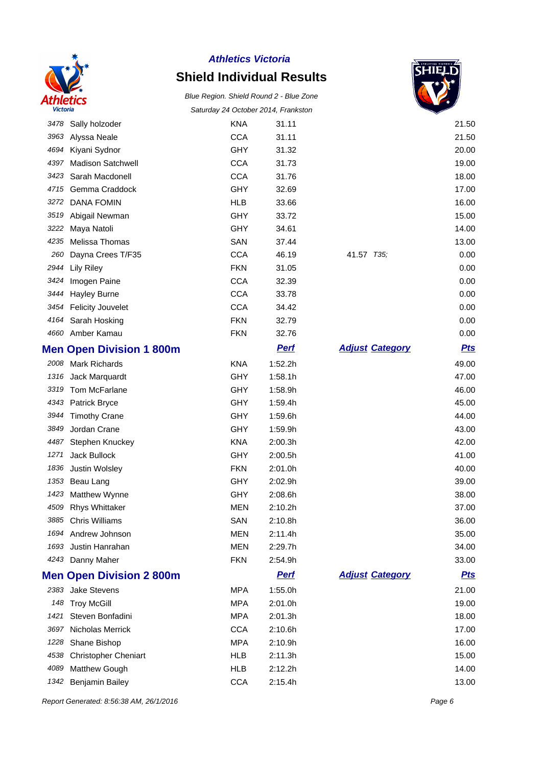

# **Shield Individual Results**

Blue Region. Shield Round 2 - Blue Zone Saturday 24 October 2014, Frankston



|      | 3478 Sally holzoder             | <b>KNA</b> | 31.11       |                        | 21.50      |
|------|---------------------------------|------------|-------------|------------------------|------------|
| 3963 | Alyssa Neale                    | <b>CCA</b> | 31.11       |                        | 21.50      |
| 4694 | Kiyani Sydnor                   | GHY        | 31.32       |                        | 20.00      |
| 4397 | Madison Satchwell               | <b>CCA</b> | 31.73       |                        | 19.00      |
| 3423 | Sarah Macdonell                 | <b>CCA</b> | 31.76       |                        | 18.00      |
| 4715 | Gemma Craddock                  | GHY        | 32.69       |                        | 17.00      |
| 3272 | <b>DANA FOMIN</b>               | <b>HLB</b> | 33.66       |                        | 16.00      |
| 3519 | Abigail Newman                  | GHY        | 33.72       |                        | 15.00      |
| 3222 | Maya Natoli                     | GHY        | 34.61       |                        | 14.00      |
| 4235 | Melissa Thomas                  | SAN        | 37.44       |                        | 13.00      |
| 260  | Dayna Crees T/F35               | <b>CCA</b> | 46.19       | 41.57 T35;             | 0.00       |
| 2944 | Lily Riley                      | <b>FKN</b> | 31.05       |                        | 0.00       |
| 3424 | Imogen Paine                    | <b>CCA</b> | 32.39       |                        | 0.00       |
| 3444 | <b>Hayley Burne</b>             | <b>CCA</b> | 33.78       |                        | 0.00       |
| 3454 | <b>Felicity Jouvelet</b>        | <b>CCA</b> | 34.42       |                        | 0.00       |
|      | 4164 Sarah Hosking              | <b>FKN</b> | 32.79       |                        | 0.00       |
|      | 4660 Amber Kamau                | <b>FKN</b> | 32.76       |                        | 0.00       |
|      | <b>Men Open Division 1 800m</b> |            | <b>Pert</b> | <b>Adjust Category</b> | <b>Pts</b> |
|      | 2008 Mark Richards              | <b>KNA</b> | 1:52.2h     |                        | 49.00      |
| 1316 | Jack Marquardt                  | GHY        | 1:58.1h     |                        | 47.00      |
| 3319 | Tom McFarlane                   | <b>GHY</b> | 1:58.9h     |                        | 46.00      |
|      | 4343 Patrick Bryce              | GHY        | 1:59.4h     |                        | 45.00      |
| 3944 | <b>Timothy Crane</b>            | <b>GHY</b> | 1:59.6h     |                        | 44.00      |
| 3849 | Jordan Crane                    | <b>GHY</b> | 1:59.9h     |                        | 43.00      |
| 4487 | Stephen Knuckey                 | <b>KNA</b> | 2:00.3h     |                        | 42.00      |
| 1271 | Jack Bullock                    | GHY        | 2:00.5h     |                        | 41.00      |
| 1836 | Justin Wolsley                  | <b>FKN</b> | 2:01.0h     |                        | 40.00      |
|      | 1353 Beau Lang                  | <b>GHY</b> | 2:02.9h     |                        | 39.00      |
| 1423 | Matthew Wynne                   | GHY        | 2:08.6h     |                        | 38.00      |
| 4509 | <b>Rhys Whittaker</b>           | <b>MEN</b> | 2:10.2h     |                        | 37.00      |
|      | 3885 Chris Williams             | SAN        | 2:10.8h     |                        | 36.00      |
|      | 1694 Andrew Johnson             | MEN        | 2:11.4h     |                        | 35.00      |
|      | 1693 Justin Hanrahan            | <b>MEN</b> | 2:29.7h     |                        | 34.00      |
|      | 4243 Danny Maher                | <b>FKN</b> | 2:54.9h     |                        | 33.00      |
|      | <b>Men Open Division 2 800m</b> |            | <b>Pert</b> | <b>Adjust Category</b> | <u>Pts</u> |
| 2383 | Jake Stevens                    | <b>MPA</b> | 1:55.0h     |                        | 21.00      |
|      | 148 Troy McGill                 | <b>MPA</b> | 2:01.0h     |                        | 19.00      |
| 1421 | Steven Bonfadini                | <b>MPA</b> | 2:01.3h     |                        | 18.00      |
| 3697 | Nicholas Merrick                | <b>CCA</b> | 2:10.6h     |                        | 17.00      |
| 1228 | Shane Bishop                    | <b>MPA</b> | 2:10.9h     |                        | 16.00      |
| 4538 | <b>Christopher Cheniart</b>     | <b>HLB</b> | 2:11.3h     |                        | 15.00      |
| 4089 | Matthew Gough                   | <b>HLB</b> | 2:12.2h     |                        | 14.00      |
|      | 1342 Benjamin Bailey            | <b>CCA</b> | 2:15.4h     |                        | 13.00      |

Report Generated: 8:56:38 AM, 26/1/2016 **Page 6**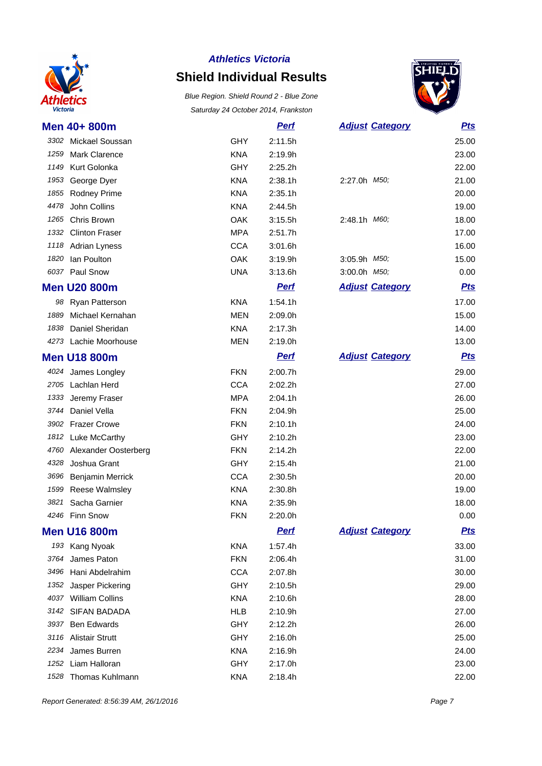

# **Shield Individual Results**

Blue Region. Shield Round 2 - Blue Zone Saturday 24 October 2014, Frankston



|      | Men 40+ 800m          |            | <b>Perf</b> |                      | <b>Adjust Category</b> | <b>Pts</b> |
|------|-----------------------|------------|-------------|----------------------|------------------------|------------|
|      | 3302 Mickael Soussan  | <b>GHY</b> | 2:11.5h     |                      |                        | 25.00      |
| 1259 | <b>Mark Clarence</b>  | <b>KNA</b> | 2:19.9h     |                      |                        | 23.00      |
| 1149 | Kurt Golonka          | <b>GHY</b> | 2:25.2h     |                      |                        | 22.00      |
| 1953 | George Dyer           | <b>KNA</b> | 2:38.1h     | 2:27.0h <i>M50</i> ; |                        | 21.00      |
| 1855 | Rodney Prime          | <b>KNA</b> | 2:35.1h     |                      |                        | 20.00      |
| 4478 | John Collins          | <b>KNA</b> | 2:44.5h     |                      |                        | 19.00      |
| 1265 | Chris Brown           | <b>OAK</b> | 3:15.5h     | 2:48.1h M60;         |                        | 18.00      |
| 1332 | <b>Clinton Fraser</b> | <b>MPA</b> | 2:51.7h     |                      |                        | 17.00      |
| 1118 | <b>Adrian Lyness</b>  | <b>CCA</b> | 3:01.6h     |                      |                        | 16.00      |
| 1820 | Ian Poulton           | <b>OAK</b> | 3:19.9h     | 3:05.9h M50;         |                        | 15.00      |
| 6037 | Paul Snow             | <b>UNA</b> | 3:13.6h     | 3:00.0h M50;         |                        | 0.00       |
|      | <b>Men U20 800m</b>   |            | <b>Perf</b> |                      | <b>Adjust Category</b> | <b>Pts</b> |
|      | 98 Ryan Patterson     | <b>KNA</b> | 1:54.1h     |                      |                        | 17.00      |
| 1889 | Michael Kernahan      | <b>MEN</b> | 2:09.0h     |                      |                        | 15.00      |
| 1838 | Daniel Sheridan       | <b>KNA</b> | 2:17.3h     |                      |                        | 14.00      |
|      | 4273 Lachie Moorhouse | <b>MEN</b> | 2:19.0h     |                      |                        | 13.00      |
|      | <b>Men U18 800m</b>   |            | <b>Pert</b> |                      | <b>Adjust Category</b> | <b>Pts</b> |
|      | 4024 James Longley    | <b>FKN</b> | 2:00.7h     |                      |                        | 29.00      |
|      | 2705 Lachlan Herd     | <b>CCA</b> | 2:02.2h     |                      |                        | 27.00      |
| 1333 | Jeremy Fraser         | <b>MPA</b> | 2:04.1h     |                      |                        | 26.00      |
| 3744 | Daniel Vella          | <b>FKN</b> | 2:04.9h     |                      |                        | 25.00      |
| 3902 | <b>Frazer Crowe</b>   | <b>FKN</b> | 2:10.1h     |                      |                        | 24.00      |
|      | 1812 Luke McCarthy    | <b>GHY</b> | 2:10.2h     |                      |                        | 23.00      |
| 4760 | Alexander Oosterberg  | <b>FKN</b> | 2:14.2h     |                      |                        | 22.00      |
| 4328 | Joshua Grant          | <b>GHY</b> | 2:15.4h     |                      |                        | 21.00      |
| 3696 | Benjamin Merrick      | <b>CCA</b> | 2:30.5h     |                      |                        | 20.00      |
| 1599 | <b>Reese Walmsley</b> | <b>KNA</b> | 2:30.8h     |                      |                        | 19.00      |
| 3821 | Sacha Garnier         | <b>KNA</b> | 2:35.9h     |                      |                        | 18.00      |
| 4246 | <b>Finn Snow</b>      | <b>FKN</b> | 2:20.0h     |                      |                        | 0.00       |
|      | <b>Men U16 800m</b>   |            | <u>Perf</u> |                      | <b>Adjust Category</b> | <u>Pts</u> |
|      | 193 Kang Nyoak        | <b>KNA</b> | 1:57.4h     |                      |                        | 33.00      |
| 3764 | James Paton           | <b>FKN</b> | 2:06.4h     |                      |                        | 31.00      |
| 3496 | Hani Abdelrahim       | <b>CCA</b> | 2:07.8h     |                      |                        | 30.00      |
| 1352 | Jasper Pickering      | <b>GHY</b> | 2:10.5h     |                      |                        | 29.00      |
|      | 4037 William Collins  | <b>KNA</b> | 2:10.6h     |                      |                        | 28.00      |
|      | 3142 SIFAN BADADA     | <b>HLB</b> | 2:10.9h     |                      |                        | 27.00      |
| 3937 | <b>Ben Edwards</b>    | <b>GHY</b> | 2:12.2h     |                      |                        | 26.00      |
|      | 3116 Alistair Strutt  | GHY        | 2:16.0h     |                      |                        | 25.00      |
|      | 2234 James Burren     | <b>KNA</b> | 2:16.9h     |                      |                        | 24.00      |
|      | 1252 Liam Halloran    | <b>GHY</b> | 2:17.0h     |                      |                        | 23.00      |

Thomas Kuhlmann KNA 2:18.4h 22.00

Report Generated: 8:56:39 AM, 26/1/2016 **Page 7**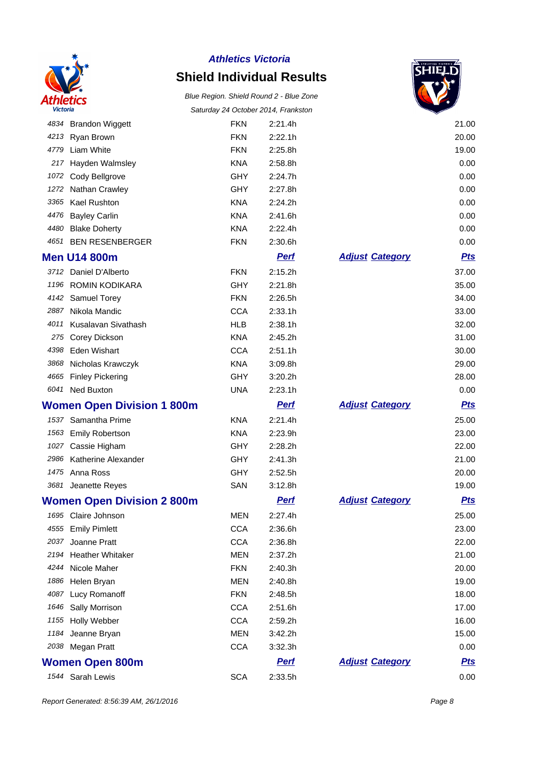

### **Shield Individual Results**



|      |                                   |            | Saluruay 24 OClODEI 2014, Fiankslon |                        |            |
|------|-----------------------------------|------------|-------------------------------------|------------------------|------------|
|      | 4834 Brandon Wiggett              | <b>FKN</b> | 2:21.4h                             |                        | 21.00      |
|      | 4213 Ryan Brown                   | <b>FKN</b> | 2:22.1h                             |                        | 20.00      |
| 4779 | Liam White                        | <b>FKN</b> | 2:25.8h                             |                        | 19.00      |
| 217  | Hayden Walmsley                   | <b>KNA</b> | 2:58.8h                             |                        | 0.00       |
| 1072 | Cody Bellgrove                    | <b>GHY</b> | 2:24.7h                             |                        | 0.00       |
| 1272 | Nathan Crawley                    | <b>GHY</b> | 2:27.8h                             |                        | 0.00       |
| 3365 | Kael Rushton                      | <b>KNA</b> | 2:24.2h                             |                        | 0.00       |
| 4476 | <b>Bayley Carlin</b>              | <b>KNA</b> | 2:41.6h                             |                        | 0.00       |
| 4480 | <b>Blake Doherty</b>              | <b>KNA</b> | 2:22.4h                             |                        | 0.00       |
| 4651 | <b>BEN RESENBERGER</b>            | <b>FKN</b> | 2:30.6h                             |                        | 0.00       |
|      | <b>Men U14 800m</b>               |            | <b>Perf</b>                         | <b>Adjust Category</b> | <b>Pts</b> |
|      | 3712 Daniel D'Alberto             | <b>FKN</b> | 2:15.2h                             |                        | 37.00      |
|      | 1196 ROMIN KODIKARA               | <b>GHY</b> | 2:21.8h                             |                        | 35.00      |
|      | 4142 Samuel Torey                 | <b>FKN</b> | 2:26.5h                             |                        | 34.00      |
| 2887 | Nikola Mandic                     | <b>CCA</b> | 2:33.1h                             |                        | 33.00      |
| 4011 | Kusalavan Sivathash               | <b>HLB</b> | 2:38.1h                             |                        | 32.00      |
| 275  | Corey Dickson                     | <b>KNA</b> | 2:45.2h                             |                        | 31.00      |
| 4398 | Eden Wishart                      | <b>CCA</b> | 2:51.1h                             |                        | 30.00      |
|      | 3868 Nicholas Krawczyk            | <b>KNA</b> | 3:09.8h                             |                        | 29.00      |
|      | 4665 Finley Pickering             | <b>GHY</b> | 3:20.2h                             |                        | 28.00      |
|      | 6041 Ned Buxton                   | <b>UNA</b> | 2:23.1h                             |                        | 0.00       |
|      | <b>Women Open Division 1 800m</b> |            | <b>Perf</b>                         | <b>Adjust Category</b> | <b>Pts</b> |
|      | 1537 Samantha Prime               | <b>KNA</b> | 2:21.4h                             |                        | 25.00      |
| 1563 | <b>Emily Robertson</b>            | <b>KNA</b> | 2:23.9h                             |                        | 23.00      |
| 1027 | Cassie Higham                     | <b>GHY</b> | 2:28.2h                             |                        | 22.00      |
| 2986 | Katherine Alexander               | <b>GHY</b> | 2:41.3h                             |                        | 21.00      |
|      | 1475 Anna Ross                    | <b>GHY</b> | 2:52.5h                             |                        | 20.00      |
|      | 3681 Jeanette Reyes               | SAN        | 3:12.8h                             |                        | 19.00      |
|      | <b>Women Open Division 2 800m</b> |            | <b>Pert</b>                         | <b>Adjust Category</b> | <u>Pts</u> |
|      | 1695 Claire Johnson               | MEN        | 2:27.4h                             |                        | 25.00      |
|      | 4555 Emily Pimlett                | <b>CCA</b> | 2:36.6h                             |                        | 23.00      |
| 2037 | Joanne Pratt                      | <b>CCA</b> | 2:36.8h                             |                        | 22.00      |
| 2194 | <b>Heather Whitaker</b>           | <b>MEN</b> | 2:37.2h                             |                        | 21.00      |
| 4244 | Nicole Maher                      | <b>FKN</b> | 2:40.3h                             |                        | 20.00      |
| 1886 | Helen Bryan                       | <b>MEN</b> | 2:40.8h                             |                        | 19.00      |
|      |                                   |            |                                     |                        |            |
| 4087 | Lucy Romanoff                     | <b>FKN</b> | 2:48.5h                             |                        | 18.00      |
| 1646 | Sally Morrison                    | <b>CCA</b> | 2:51.6h                             |                        | 17.00      |
| 1155 | Holly Webber                      | <b>CCA</b> | 2:59.2h                             |                        | 16.00      |
| 1184 | Jeanne Bryan                      | <b>MEN</b> | 3:42.2h                             |                        | 15.00      |
|      | 2038 Megan Pratt                  | <b>CCA</b> | 3:32.3h                             |                        | 0.00       |
|      | <b>Women Open 800m</b>            |            | <b>Perf</b>                         | <b>Adjust Category</b> | <u>Pts</u> |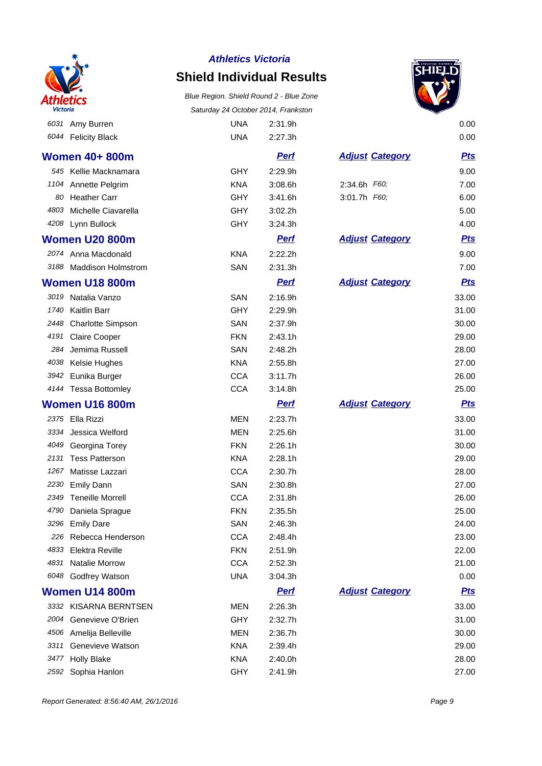

### **Shield Individual Results**

Blue Region. Shield Round 2 - Blue Zone Saturday 24 October 2014, Frankston

Amy Burren UNA 2:31.9h 0.00



|      | 6044 Felicity Black       | <b>UNA</b> | 2:27.3h     |                        | 0.00       |
|------|---------------------------|------------|-------------|------------------------|------------|
|      | Women 40+ 800m            |            | <b>Pert</b> | <b>Adjust Category</b> | <b>Pts</b> |
|      | 545 Kellie Macknamara     | <b>GHY</b> | 2:29.9h     |                        | 9.00       |
| 1104 | Annette Pelgrim           | <b>KNA</b> | 3:08.6h     | 2:34.6h F60;           | 7.00       |
| 80   | <b>Heather Carr</b>       | <b>GHY</b> | 3:41.6h     | 3:01.7h F60;           | 6.00       |
| 4803 | Michelle Ciavarella       | <b>GHY</b> | 3:02.2h     |                        | 5.00       |
| 4208 | Lynn Bullock              | <b>GHY</b> | 3:24.3h     |                        | 4.00       |
|      | <b>Women U20 800m</b>     |            | <b>Perf</b> | <b>Adjust Category</b> | <b>Pts</b> |
|      | 2074 Anna Macdonald       | <b>KNA</b> | 2:22.2h     |                        | 9.00       |
| 3188 | <b>Maddison Holmstrom</b> | SAN        | 2:31.3h     |                        | 7.00       |
|      | <b>Women U18 800m</b>     |            | <b>Perf</b> | <b>Adjust Category</b> | <b>Pts</b> |
| 3019 | Natalia Vanzo             | SAN        | 2:16.9h     |                        | 33.00      |
| 1740 | Kaitlin Barr              | <b>GHY</b> | 2:29.9h     |                        | 31.00      |
| 2448 | <b>Charlotte Simpson</b>  | SAN        | 2:37.9h     |                        | 30.00      |
| 4191 | <b>Claire Cooper</b>      | <b>FKN</b> | 2:43.1h     |                        | 29.00      |
| 284  | Jemima Russell            | SAN        | 2:48.2h     |                        | 28.00      |
| 4038 | Kelsie Hughes             | <b>KNA</b> | 2:55.8h     |                        | 27.00      |
| 3942 | Eunika Burger             | <b>CCA</b> | 3:11.7h     |                        | 26.00      |
|      | 4144 Tessa Bottomley      | <b>CCA</b> | 3:14.8h     |                        | 25.00      |
|      | <b>Women U16 800m</b>     |            | <b>Perf</b> | <b>Adjust Category</b> | <b>Pts</b> |
| 2375 | Ella Rizzi                | <b>MEN</b> | 2:23.7h     |                        | 33.00      |
| 3334 | Jessica Welford           | <b>MEN</b> | 2:25.6h     |                        | 31.00      |
| 4049 | Georgina Torey            | <b>FKN</b> | 2:26.1h     |                        | 30.00      |
| 2131 | <b>Tess Patterson</b>     | <b>KNA</b> | 2:28.1h     |                        | 29.00      |
| 1267 | Matisse Lazzari           | <b>CCA</b> | 2:30.7h     |                        | 28.00      |
| 2230 | <b>Emily Dann</b>         | SAN        | 2:30.8h     |                        | 27.00      |
| 2349 | <b>Teneille Morrell</b>   | <b>CCA</b> | 2:31.8h     |                        | 26.00      |
| 4790 | Daniela Sprague           | <b>FKN</b> | 2:35.5h     |                        | 25.00      |
| 3296 | <b>Emily Dare</b>         | SAN        | 2:46.3h     |                        | 24.00      |
| 226  | Rebecca Henderson         | <b>CCA</b> | 2:48.4h     |                        | 23.00      |
| 4833 | <b>Elektra Reville</b>    | <b>FKN</b> | 2:51.9h     |                        | 22.00      |
| 4831 | Natalie Morrow            | <b>CCA</b> | 2:52.3h     |                        | 21.00      |
| 6048 | Godfrey Watson            | <b>UNA</b> | 3:04.3h     |                        | 0.00       |
|      | <b>Women U14 800m</b>     |            | <b>Perf</b> | <b>Adjust Category</b> | <u>Pts</u> |
|      | 3332 KISARNA BERNTSEN     | <b>MEN</b> | 2:26.3h     |                        | 33.00      |
| 2004 | Genevieve O'Brien         | <b>GHY</b> | 2:32.7h     |                        | 31.00      |
|      | 4506 Amelija Belleville   | <b>MEN</b> | 2:36.7h     |                        | 30.00      |
| 3311 | Genevieve Watson          | <b>KNA</b> | 2:39.4h     |                        | 29.00      |
| 3477 | <b>Holly Blake</b>        | <b>KNA</b> | 2:40.0h     |                        | 28.00      |
| 2592 | Sophia Hanlon             | <b>GHY</b> | 2:41.9h     |                        | 27.00      |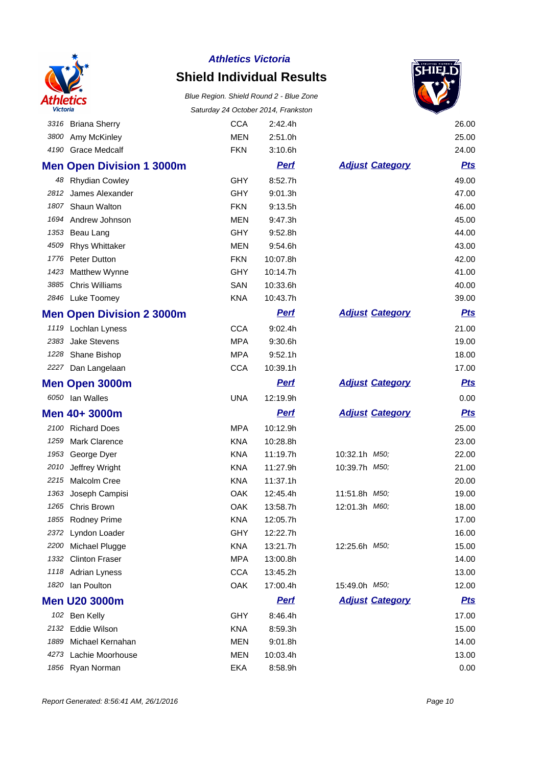

### **Shield Individual Results**



|      | 3316 Briana Sherry               | <b>CCA</b> | 2:42.4h     |                        | 26.00      |
|------|----------------------------------|------------|-------------|------------------------|------------|
|      | 3800 Amy McKinley                | <b>MEN</b> | 2:51.0h     |                        | 25.00      |
|      | 4190 Grace Medcalf               | <b>FKN</b> | 3:10.6h     |                        | 24.00      |
|      | <b>Men Open Division 1 3000m</b> |            | <u>Perf</u> | <b>Adjust Category</b> | <u>Pts</u> |
|      | 48 Rhydian Cowley                | <b>GHY</b> | 8:52.7h     |                        | 49.00      |
| 2812 | James Alexander                  | <b>GHY</b> | 9:01.3h     |                        | 47.00      |
|      | 1807 Shaun Walton                | <b>FKN</b> | 9:13.5h     |                        | 46.00      |
|      | 1694 Andrew Johnson              | <b>MEN</b> | 9:47.3h     |                        | 45.00      |
|      | 1353 Beau Lang                   | <b>GHY</b> | 9:52.8h     |                        | 44.00      |
| 4509 | <b>Rhys Whittaker</b>            | <b>MEN</b> | 9:54.6h     |                        | 43.00      |
|      | 1776 Peter Dutton                | <b>FKN</b> | 10:07.8h    |                        | 42.00      |
|      | 1423 Matthew Wynne               | <b>GHY</b> | 10:14.7h    |                        | 41.00      |
|      | 3885 Chris Williams              | SAN        | 10:33.6h    |                        | 40.00      |
|      | 2846 Luke Toomey                 | <b>KNA</b> | 10:43.7h    |                        | 39.00      |
|      | <b>Men Open Division 2 3000m</b> |            | <b>Perf</b> | <b>Adjust Category</b> | <u>Pts</u> |
|      | 1119 Lochlan Lyness              | <b>CCA</b> | 9:02.4h     |                        | 21.00      |
|      | 2383 Jake Stevens                | <b>MPA</b> | 9:30.6h     |                        | 19.00      |
|      | 1228 Shane Bishop                | <b>MPA</b> | 9:52.1h     |                        | 18.00      |
|      | 2227 Dan Langelaan               | <b>CCA</b> | 10:39.1h    |                        | 17.00      |
|      | Men Open 3000m                   |            | <u>Perf</u> | <b>Adjust Category</b> | <u>Pts</u> |
|      | 6050 Ian Walles                  | <b>UNA</b> | 12:19.9h    |                        | 0.00       |
|      | Men 40+ 3000m                    |            | <b>Perf</b> | <b>Adjust Category</b> | <u>Pts</u> |
|      | 2100 Richard Does                | <b>MPA</b> | 10:12.9h    |                        | 25.00      |
| 1259 | <b>Mark Clarence</b>             | <b>KNA</b> | 10:28.8h    |                        | 23.00      |
|      | 1953 George Dyer                 | <b>KNA</b> | 11:19.7h    | 10:32.1h M50;          | 22.00      |
| 2010 | Jeffrey Wright                   | <b>KNA</b> | 11:27.9h    | 10:39.7h M50;          | 21.00      |
|      | 2215 Malcolm Cree                | <b>KNA</b> | 11:37.1h    |                        | 20.00      |
| 1363 | Joseph Campisi                   | OAK        | 12:45.4h    | 11:51.8h M50;          | 19.00      |
| 1265 | Chris Brown                      | <b>OAK</b> | 13:58.7h    | 12:01.3h M60;          | 18.00      |
| 1855 | <b>Rodney Prime</b>              | <b>KNA</b> | 12:05.7h    |                        | 17.00      |
|      | 2372 Lyndon Loader               | <b>GHY</b> | 12:22.7h    |                        | 16.00      |
|      | 2200 Michael Plugge              | <b>KNA</b> | 13:21.7h    | 12:25.6h M50;          | 15.00      |
| 1332 | <b>Clinton Fraser</b>            | <b>MPA</b> | 13:00.8h    |                        | 14.00      |
|      | 1118 Adrian Lyness               | <b>CCA</b> | 13:45.2h    |                        | 13.00      |
| 1820 | lan Poulton                      | OAK        | 17:00.4h    | 15:49.0h M50;          | 12.00      |
|      | <b>Men U20 3000m</b>             |            | <b>Perf</b> | <b>Adjust Category</b> | <u>Pts</u> |
|      | 102 Ben Kelly                    | <b>GHY</b> | 8:46.4h     |                        | 17.00      |
| 2132 | Eddie Wilson                     | <b>KNA</b> | 8:59.3h     |                        | 15.00      |
| 1889 | Michael Kernahan                 | <b>MEN</b> | 9:01.8h     |                        | 14.00      |
| 4273 | Lachie Moorhouse                 | <b>MEN</b> | 10:03.4h    |                        | 13.00      |
| 1856 | Ryan Norman                      | EKA        | 8:58.9h     |                        | 0.00       |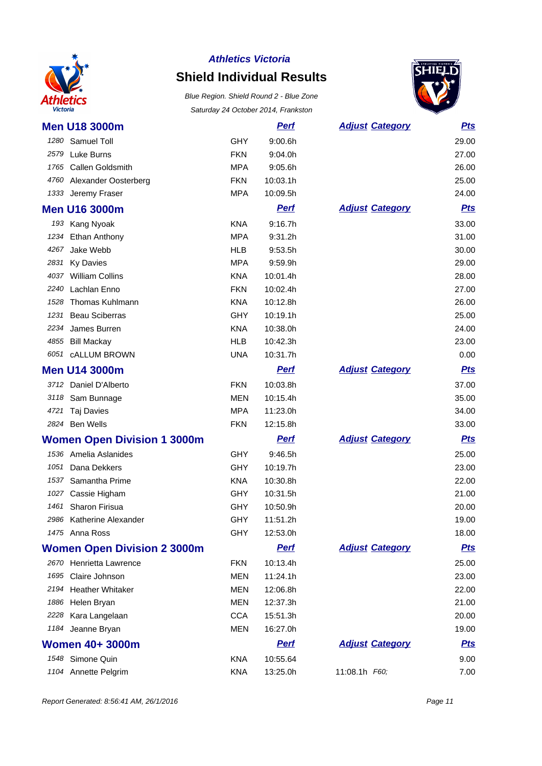

### **Shield Individual Results**



|      | <b>Men U18 3000m</b>               |            | <b>Perf</b> | <b>Adjust Category</b> | <u>Pts</u> |
|------|------------------------------------|------------|-------------|------------------------|------------|
|      | 1280 Samuel Toll                   | <b>GHY</b> | 9:00.6h     |                        | 29.00      |
|      | 2579 Luke Burns                    | <b>FKN</b> | 9:04.0h     |                        | 27.00      |
| 1765 | <b>Callen Goldsmith</b>            | <b>MPA</b> | 9:05.6h     |                        | 26.00      |
| 4760 | Alexander Oosterberg               | <b>FKN</b> | 10:03.1h    |                        | 25.00      |
| 1333 | Jeremy Fraser                      | <b>MPA</b> | 10:09.5h    |                        | 24.00      |
|      | <b>Men U16 3000m</b>               |            | <b>Pert</b> | <b>Adjust Category</b> | <u>Pts</u> |
|      | 193 Kang Nyoak                     | <b>KNA</b> | 9:16.7h     |                        | 33.00      |
|      | 1234 Ethan Anthony                 | <b>MPA</b> | 9:31.2h     |                        | 31.00      |
| 4267 | Jake Webb                          | <b>HLB</b> | 9:53.5h     |                        | 30.00      |
| 2831 | <b>Ky Davies</b>                   | <b>MPA</b> | 9:59.9h     |                        | 29.00      |
|      | 4037 William Collins               | <b>KNA</b> | 10:01.4h    |                        | 28.00      |
| 2240 | Lachlan Enno                       | <b>FKN</b> | 10:02.4h    |                        | 27.00      |
| 1528 | Thomas Kuhlmann                    | <b>KNA</b> | 10:12.8h    |                        | 26.00      |
| 1231 | <b>Beau Sciberras</b>              | <b>GHY</b> | 10:19.1h    |                        | 25.00      |
| 2234 | James Burren                       | <b>KNA</b> | 10:38.0h    |                        | 24.00      |
|      | 4855 Bill Mackay                   | <b>HLB</b> | 10:42.3h    |                        | 23.00      |
|      | 6051 cALLUM BROWN                  | <b>UNA</b> | 10:31.7h    |                        | 0.00       |
|      | <b>Men U14 3000m</b>               |            | <b>Perf</b> | <b>Adjust Category</b> | <b>Pts</b> |
|      | 3712 Daniel D'Alberto              | <b>FKN</b> | 10:03.8h    |                        | 37.00      |
|      | 3118 Sam Bunnage                   | <b>MEN</b> | 10:15.4h    |                        | 35.00      |
| 4721 | Taj Davies                         | <b>MPA</b> | 11:23.0h    |                        | 34.00      |
|      | 2824 Ben Wells                     | <b>FKN</b> | 12:15.8h    |                        | 33.00      |
|      | <b>Women Open Division 1 3000m</b> |            | <b>Perf</b> | <b>Adjust Category</b> | <b>Pts</b> |
|      | 1536 Amelia Aslanides              | <b>GHY</b> | 9:46.5h     |                        | 25.00      |
| 1051 | Dana Dekkers                       | <b>GHY</b> | 10:19.7h    |                        | 23.00      |
| 1537 | Samantha Prime                     | <b>KNA</b> | 10:30.8h    |                        | 22.00      |
|      | 1027 Cassie Higham                 | <b>GHY</b> | 10:31.5h    |                        | 21.00      |
| 1461 | <b>Sharon Firisua</b>              | <b>GHY</b> | 10:50.9h    |                        | 20.00      |
|      | 2986 Katherine Alexander           | <b>GHY</b> | 11:51.2h    |                        | 19.00      |
|      | 1475 Anna Ross                     | <b>GHY</b> | 12:53.0h    |                        | 18.00      |
|      | <b>Women Open Division 2 3000m</b> |            | <b>Perf</b> | <b>Adjust Category</b> | <u>Pts</u> |
|      | 2670 Henrietta Lawrence            | <b>FKN</b> | 10:13.4h    |                        | 25.00      |
|      | 1695 Claire Johnson                | MEN        | 11:24.1h    |                        | 23.00      |
|      | 2194 Heather Whitaker              | <b>MEN</b> | 12:06.8h    |                        | 22.00      |
|      | 1886 Helen Bryan                   | <b>MEN</b> | 12:37.3h    |                        | 21.00      |
|      | 2228 Kara Langelaan                | <b>CCA</b> | 15:51.3h    |                        | 20.00      |
|      | 1184 Jeanne Bryan                  | <b>MEN</b> | 16:27.0h    |                        | 19.00      |
|      | <b>Women 40+ 3000m</b>             |            | <b>Perf</b> | <b>Adjust Category</b> | <u>Pts</u> |
|      | 1548 Simone Quin                   | KNA        | 10:55.64    |                        | 9.00       |
|      | 1104 Annette Pelgrim               | <b>KNA</b> | 13:25.0h    | 11:08.1h F60;          | 7.00       |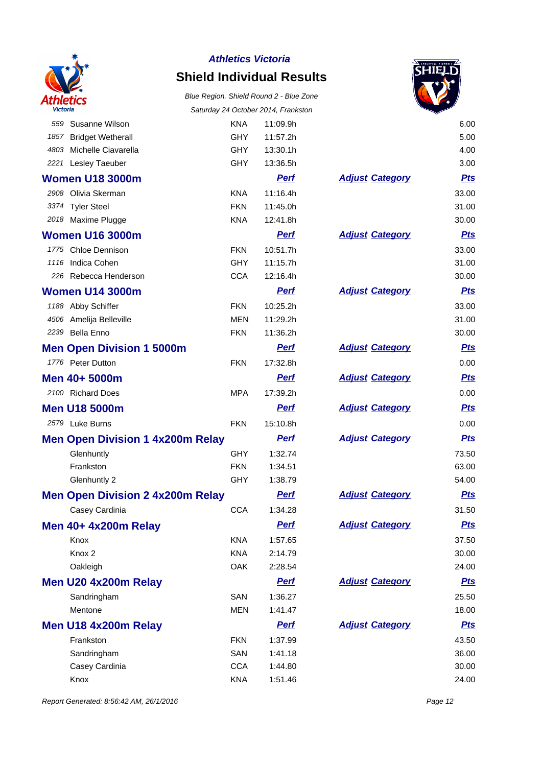

### **Shield Individual Results**

# Blue Region. Shield Round 2 - Blue Zone



| Victoria |                                         |            | Saturday 24 October 2014, Frankston |                        |            |
|----------|-----------------------------------------|------------|-------------------------------------|------------------------|------------|
| 559      | Susanne Wilson                          | <b>KNA</b> | 11:09.9h                            |                        | 6.00       |
| 1857     | <b>Bridget Wetherall</b>                | <b>GHY</b> | 11:57.2h                            |                        | 5.00       |
| 4803     | Michelle Ciavarella                     | <b>GHY</b> | 13:30.1h                            |                        | 4.00       |
| 2221     | Lesley Taeuber                          | <b>GHY</b> | 13:36.5h                            |                        | 3.00       |
|          | <b>Women U18 3000m</b>                  |            | <b>Perf</b>                         | <b>Adjust Category</b> | <u>Pts</u> |
|          | 2908 Olivia Skerman                     | <b>KNA</b> | 11:16.4h                            |                        | 33.00      |
|          | 3374 Tyler Steel                        | <b>FKN</b> | 11:45.0h                            |                        | 31.00      |
|          | 2018 Maxime Plugge                      | <b>KNA</b> | 12:41.8h                            |                        | 30.00      |
|          | <b>Women U16 3000m</b>                  |            | <b>Perf</b>                         | <b>Adjust Category</b> | <u>Pts</u> |
|          | 1775 Chloe Dennison                     | <b>FKN</b> | 10:51.7h                            |                        | 33.00      |
|          | 1116 Indica Cohen                       | <b>GHY</b> | 11:15.7h                            |                        | 31.00      |
|          | 226 Rebecca Henderson                   | <b>CCA</b> | 12:16.4h                            |                        | 30.00      |
|          | <b>Women U14 3000m</b>                  |            | <b>Perf</b>                         | <b>Adjust Category</b> | <u>Pts</u> |
|          | 1188 Abby Schiffer                      | <b>FKN</b> | 10:25.2h                            |                        | 33.00      |
|          | 4506 Amelija Belleville                 | <b>MEN</b> | 11:29.2h                            |                        | 31.00      |
|          | 2239 Bella Enno                         | <b>FKN</b> | 11:36.2h                            |                        | 30.00      |
|          | <b>Men Open Division 1 5000m</b>        |            | <u>Perf</u>                         | <b>Adjust Category</b> | <u>Pts</u> |
|          | 1776 Peter Dutton                       | <b>FKN</b> | 17:32.8h                            |                        | 0.00       |
|          | Men 40+ 5000m                           |            | <b>Perf</b>                         | <b>Adjust Category</b> | <u>Pts</u> |
|          | 2100 Richard Does                       | <b>MPA</b> | 17:39.2h                            |                        | 0.00       |
|          | <b>Men U18 5000m</b>                    |            | <b>Perf</b>                         | <b>Adjust Category</b> | <u>Pts</u> |
|          | 2579 Luke Burns                         | <b>FKN</b> | 15:10.8h                            |                        | 0.00       |
|          | <b>Men Open Division 1 4x200m Relay</b> |            | <b>Perf</b>                         | <b>Adjust Category</b> | <u>Pts</u> |
|          | Glenhuntly                              | <b>GHY</b> | 1:32.74                             |                        | 73.50      |
|          | Frankston                               | <b>FKN</b> | 1:34.51                             |                        | 63.00      |
|          | Glenhuntly 2                            | <b>GHY</b> | 1:38.79                             |                        | 54.00      |
|          | <b>Men Open Division 2 4x200m Relay</b> |            | <b>Perf</b>                         | <b>Adjust Category</b> | <u>Pts</u> |
|          | Casey Cardinia                          | <b>CCA</b> | 1:34.28                             |                        | 31.50      |
|          | Men 40+ 4x200m Relay                    |            | <b>Perf</b>                         | <b>Adjust Category</b> | <u>Pts</u> |
|          | Knox                                    | <b>KNA</b> | 1:57.65                             |                        | 37.50      |
|          | Knox <sub>2</sub>                       | <b>KNA</b> | 2:14.79                             |                        | 30.00      |
|          | Oakleigh                                | OAK        | 2:28.54                             |                        | 24.00      |
|          | Men U20 4x200m Relay                    |            | <b>Perf</b>                         | <b>Adjust Category</b> | <u>Pts</u> |
|          | Sandringham                             | SAN        | 1:36.27                             |                        | 25.50      |
|          | Mentone                                 | <b>MEN</b> | 1:41.47                             |                        | 18.00      |
|          | Men U18 4x200m Relay                    |            | <b>Perf</b>                         | <b>Adjust Category</b> | <b>Pts</b> |
|          | Frankston                               | <b>FKN</b> | 1:37.99                             |                        | 43.50      |
|          | Sandringham                             | SAN        | 1:41.18                             |                        | 36.00      |
|          | Casey Cardinia                          | <b>CCA</b> | 1:44.80                             |                        | 30.00      |
|          | Knox                                    | <b>KNA</b> | 1:51.46                             |                        | 24.00      |
|          |                                         |            |                                     |                        |            |

|                        | 4.00       |
|------------------------|------------|
|                        | 3.00       |
| <u> Ijust Category</u> | <b>Pts</b> |
|                        | 33.00      |
|                        | 31.00      |
|                        | 30.00      |
| <u>ljust Category</u>  | <u>Pts</u> |
|                        | 33.00      |
|                        | 31.00      |
|                        | 30.00      |
| <b>Jjust Category</b>  | <b>Pts</b> |
|                        | 33.00      |
|                        | 31.00      |
|                        | 30.00      |
| <u> Ijust Category</u> | <u>Pts</u> |
|                        | 0.00       |
| <u> Ijust Category</u> | <b>Pts</b> |
|                        | 0.00       |
| <u>ljust Category</u>  | <u>Pts</u> |
|                        | 0.00       |
| <b>djust Category</b>  | <b>Pts</b> |
|                        | 73.50      |
|                        | 63.00      |
|                        | 54.00      |
| <u> Ijust Category</u> | <u>Pts</u> |
|                        | 31.50      |
| <b>djust Category</b>  | <b>Pts</b> |
|                        | 37.50      |
|                        | 30.00      |
|                        | 24.00      |
| <u>ljust Category</u>  | <u>Pts</u> |
|                        | 25.50      |
|                        | 18.00      |
| <u> Ijust Category</u> | <b>Pts</b> |
|                        | 43.50      |
|                        | 36.00      |
|                        | 30.00      |
|                        | 24.00      |

Report Generated: 8:56:42 AM, 26/1/2016 **Page 12**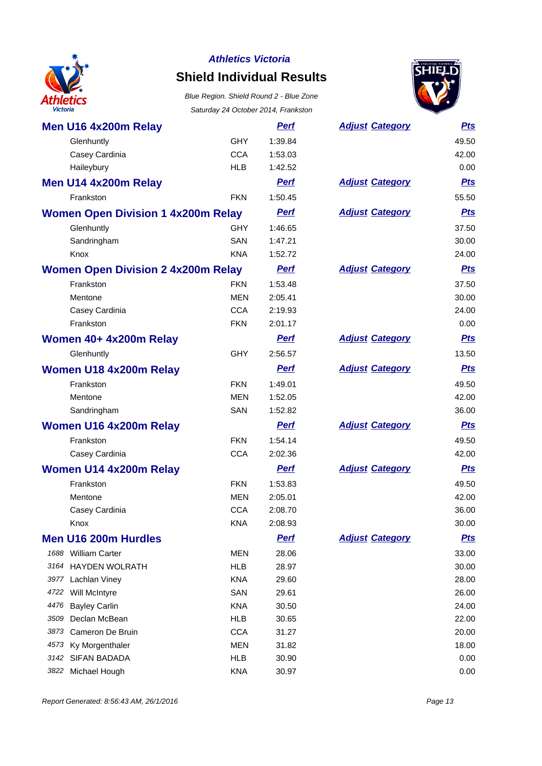

# **Shield Individual Results**



| Men U16 4x200m Relay                      |            | <b>Perf</b> | <b>Adjust Category</b> | <b>Pts</b> |
|-------------------------------------------|------------|-------------|------------------------|------------|
| Glenhuntly                                | <b>GHY</b> | 1:39.84     |                        | 49.50      |
| Casey Cardinia                            | <b>CCA</b> | 1:53.03     |                        | 42.00      |
| Haileybury                                | <b>HLB</b> | 1:42.52     |                        | 0.00       |
| Men U14 4x200m Relay                      |            | <b>Perf</b> | <b>Adjust Category</b> | <b>Pts</b> |
| Frankston                                 | <b>FKN</b> | 1:50.45     |                        | 55.50      |
| <b>Women Open Division 1 4x200m Relay</b> |            | <b>Perf</b> | <b>Adjust Category</b> | <b>Pts</b> |
| Glenhuntly                                | <b>GHY</b> | 1:46.65     |                        | 37.50      |
| Sandringham                               | SAN        | 1:47.21     |                        | 30.00      |
| Knox                                      | <b>KNA</b> | 1:52.72     |                        | 24.00      |
| <b>Women Open Division 2 4x200m Relay</b> |            | <b>Perf</b> | <b>Adjust Category</b> | <b>Pts</b> |
| Frankston                                 | <b>FKN</b> | 1:53.48     |                        | 37.50      |
| Mentone                                   | <b>MEN</b> | 2:05.41     |                        | 30.00      |
| Casey Cardinia                            | <b>CCA</b> | 2:19.93     |                        | 24.00      |
| Frankston                                 | <b>FKN</b> | 2:01.17     |                        | 0.00       |
| Women 40+ 4x200m Relay                    |            | <b>Perf</b> | <b>Adjust Category</b> | <u>Pts</u> |
| Glenhuntly                                | <b>GHY</b> | 2:56.57     |                        | 13.50      |
| <b>Women U18 4x200m Relay</b>             |            | <b>Perf</b> | <b>Adjust Category</b> | <b>Pts</b> |
| Frankston                                 | <b>FKN</b> | 1:49.01     |                        | 49.50      |
| Mentone                                   | <b>MEN</b> | 1:52.05     |                        | 42.00      |
| Sandringham                               | SAN        | 1:52.82     |                        | 36.00      |
| <b>Women U16 4x200m Relay</b>             |            | <b>Perf</b> | <b>Adjust Category</b> | <b>Pts</b> |
| Frankston                                 | <b>FKN</b> | 1:54.14     |                        | 49.50      |
| Casey Cardinia                            | <b>CCA</b> | 2:02.36     |                        | 42.00      |
| <b>Women U14 4x200m Relay</b>             |            | <b>Perf</b> | <b>Adjust Category</b> | <b>Pts</b> |
| Frankston                                 | <b>FKN</b> | 1:53.83     |                        | 49.50      |
| Mentone                                   | <b>MEN</b> | 2:05.01     |                        | 42.00      |
| Casey Cardinia                            | <b>CCA</b> | 2:08.70     |                        | 36.00      |
| Knox                                      | <b>KNA</b> | 2:08.93     |                        | 30.00      |
| Men U16 200m Hurdles                      |            | <b>Perf</b> | <b>Adjust Category</b> | <b>Pts</b> |
| 1688 William Carter                       | <b>MEN</b> | 28.06       |                        | 33.00      |
| 3164 HAYDEN WOLRATH                       | <b>HLB</b> | 28.97       |                        | 30.00      |
| 3977 Lachlan Viney                        | <b>KNA</b> | 29.60       |                        | 28.00      |
| 4722 Will McIntyre                        | <b>SAN</b> | 29.61       |                        | 26.00      |
| <b>Bayley Carlin</b><br>4476              | <b>KNA</b> | 30.50       |                        | 24.00      |
| 3509<br>Declan McBean                     | <b>HLB</b> | 30.65       |                        | 22.00      |
| 3873 Cameron De Bruin                     | <b>CCA</b> | 31.27       |                        | 20.00      |
| Ky Morgenthaler<br>4573                   | <b>MEN</b> | 31.82       |                        | 18.00      |
| 3142 SIFAN BADADA                         | <b>HLB</b> | 30.90       |                        | 0.00       |
| 3822 Michael Hough                        | <b>KNA</b> | 30.97       |                        | 0.00       |

|                       | 49.50      |
|-----------------------|------------|
|                       | 42.00      |
|                       | 0.00       |
| djust Category        | <b>Pts</b> |
|                       | 55.50      |
| djust Category        | <b>Pts</b> |
|                       | 37.50      |
|                       | 30.00      |
|                       | 24.00      |
| <u>djust Category</u> | <b>Pts</b> |
|                       | 37.50      |
|                       | 30.00      |
|                       | 24.00      |
|                       | 0.00       |
| djust Category        | <b>Pts</b> |
|                       | 13.50      |
| djust Category        | <b>Pts</b> |
|                       | 49.50      |
|                       | 42.00      |
|                       | 36.00      |
| djust Category        | <b>Pts</b> |
|                       | 49.50      |
|                       | 42.00      |
| djust Category        | <b>Pts</b> |
|                       | 49.50      |
|                       | 42.00      |
|                       | 36.00      |
|                       | 30.00      |
| djust Category        | <b>Pts</b> |
|                       | 33.00      |
|                       | 30.00      |
|                       | 28.00      |
|                       | 26.00      |
|                       | 0.400      |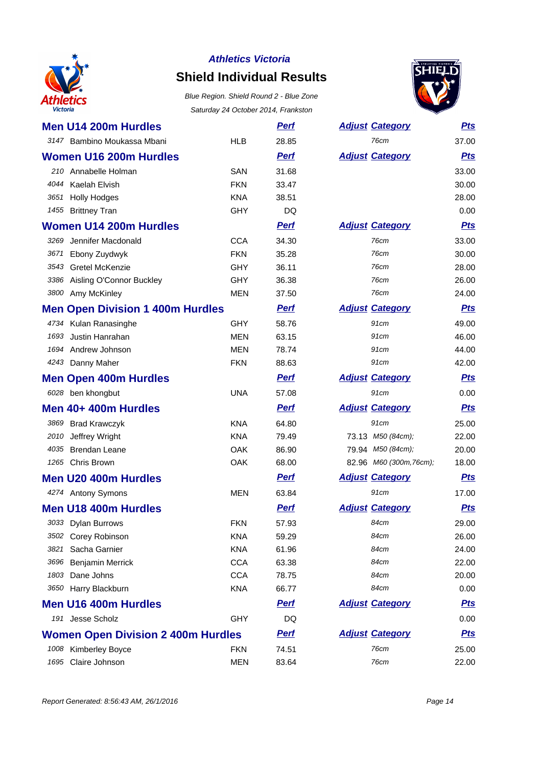

### **Shield Individual Results**



|      |                                           |            | $3$ and day $24$ October 2014, Framston |                         |            |
|------|-------------------------------------------|------------|-----------------------------------------|-------------------------|------------|
|      | Men U14 200m Hurdles                      |            | <u>Perf</u>                             | <b>Adjust Category</b>  | <u>Pts</u> |
|      | 3147 Bambino Moukassa Mbani               | <b>HLB</b> | 28.85                                   | 76cm                    | 37.00      |
|      | <b>Women U16 200m Hurdles</b>             |            | <b>Pert</b>                             | <b>Adjust Category</b>  | <b>Pts</b> |
|      | 210 Annabelle Holman                      | <b>SAN</b> | 31.68                                   |                         | 33.00      |
| 4044 | Kaelah Elvish                             | <b>FKN</b> | 33.47                                   |                         | 30.00      |
|      | 3651 Holly Hodges                         | <b>KNA</b> | 38.51                                   |                         | 28.00      |
|      | 1455 Brittney Tran                        | GHY        | DQ                                      |                         | 0.00       |
|      | <b>Women U14 200m Hurdles</b>             |            | <b>Perf</b>                             | <b>Adjust Category</b>  | <b>Pts</b> |
| 3269 | Jennifer Macdonald                        | <b>CCA</b> | 34.30                                   | 76cm                    | 33.00      |
| 3671 | Ebony Zuydwyk                             | <b>FKN</b> | 35.28                                   | 76cm                    | 30.00      |
| 3543 | Gretel McKenzie                           | <b>GHY</b> | 36.11                                   | 76cm                    | 28.00      |
| 3386 | Aisling O'Connor Buckley                  | GHY        | 36.38                                   | 76cm                    | 26.00      |
| 3800 | Amy McKinley                              | <b>MEN</b> | 37.50                                   | 76cm                    | 24.00      |
|      | <b>Men Open Division 1 400m Hurdles</b>   |            | <b>Perf</b>                             | <b>Adjust Category</b>  | <b>Pts</b> |
|      | 4734 Kulan Ranasinghe                     | <b>GHY</b> | 58.76                                   | 91cm                    | 49.00      |
| 1693 | Justin Hanrahan                           | <b>MEN</b> | 63.15                                   | 91cm                    | 46.00      |
| 1694 | Andrew Johnson                            | <b>MEN</b> | 78.74                                   | 91cm                    | 44.00      |
|      | 4243 Danny Maher                          | <b>FKN</b> | 88.63                                   | 91cm                    | 42.00      |
|      | <b>Men Open 400m Hurdles</b>              |            | <b>Perf</b>                             | <b>Adjust Category</b>  | <b>Pts</b> |
|      | 6028 ben khongbut                         | <b>UNA</b> | 57.08                                   | 91cm                    | 0.00       |
|      | Men 40+ 400m Hurdles                      |            | <b>Pert</b>                             | <b>Adjust Category</b>  | <b>Pts</b> |
|      | 3869 Brad Krawczyk                        | <b>KNA</b> | 64.80                                   | 91cm                    | 25.00      |
| 2010 | Jeffrey Wright                            | <b>KNA</b> | 79.49                                   | 73.13 M50 (84cm);       | 22.00      |
| 4035 | <b>Brendan Leane</b>                      | OAK        | 86.90                                   | 79.94 M50 (84cm);       | 20.00      |
|      | 1265 Chris Brown                          | OAK        | 68.00                                   | 82.96 M60 (300m, 76cm); | 18.00      |
|      | <b>Men U20 400m Hurdles</b>               |            | <b>Perf</b>                             | <b>Adjust Category</b>  | <b>Pts</b> |
|      | 4274 Antony Symons                        | <b>MEN</b> | 63.84                                   | 91cm                    | 17.00      |
|      | Men U18 400m Hurdles                      |            | <b>Pert</b>                             | <b>Adjust Category</b>  | <u>Pts</u> |
|      | 3033 Dylan Burrows                        | <b>FKN</b> | 57.93                                   | 84cm                    | 29.00      |
|      | 3502 Corey Robinson                       | <b>KNA</b> | 59.29                                   | 84cm                    | 26.00      |
| 3821 | Sacha Garnier                             | <b>KNA</b> | 61.96                                   | 84cm                    | 24.00      |
| 3696 | Benjamin Merrick                          | <b>CCA</b> | 63.38                                   | 84cm                    | 22.00      |
| 1803 | Dane Johns                                | <b>CCA</b> | 78.75                                   | 84cm                    | 20.00      |
|      | 3650 Harry Blackburn                      | <b>KNA</b> | 66.77                                   | 84cm                    | 0.00       |
|      | <b>Men U16 400m Hurdles</b>               |            | <b>Perf</b>                             | <b>Adjust Category</b>  | <u>Pts</u> |
|      | 191 Jesse Scholz                          | GHY        | DQ                                      |                         | 0.00       |
|      | <b>Women Open Division 2 400m Hurdles</b> |            | <u>Perf</u>                             | <b>Adjust Category</b>  | <u>Pts</u> |
|      | 1008 Kimberley Boyce                      | <b>FKN</b> | 74.51                                   | <b>76cm</b>             | 25.00      |
| 1695 | Claire Johnson                            | <b>MEN</b> | 83.64                                   | 76cm                    | 22.00      |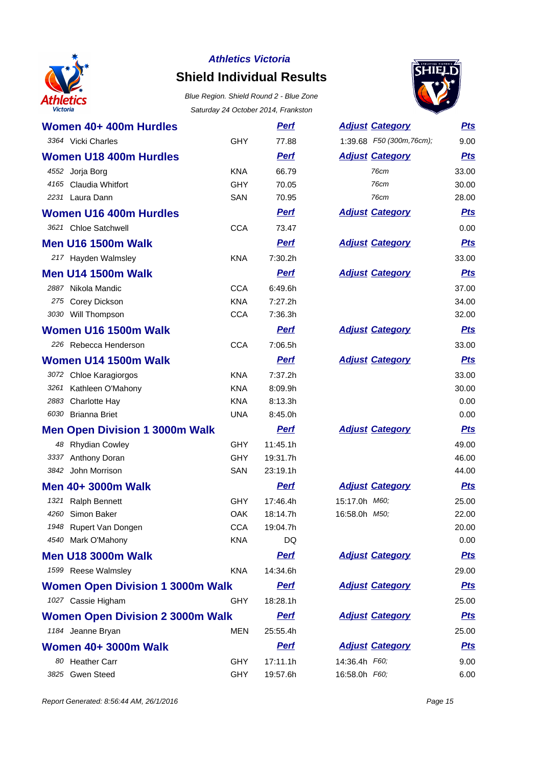

# **Shield Individual Results**

Blue Region. Shield Round 2 - Blue Zone Saturday 24 October 2014, Frankston



| Women 40+ 400m Hurdles                   | <b>GHY</b> | <u>Perf</u><br>77.88 | <b>Adjust Category</b><br>1:39.68 F50 (300m, 76cm); | <u>Pts</u> |
|------------------------------------------|------------|----------------------|-----------------------------------------------------|------------|
| 3364 Vicki Charles                       |            |                      |                                                     | 9.00       |
| <b>Women U18 400m Hurdles</b>            |            | <b>Perf</b>          | <b>Adjust Category</b>                              | <b>Pts</b> |
| 4552 Jorja Borg                          | <b>KNA</b> | 66.79                | 76cm                                                | 33.00      |
| 4165 Claudia Whitfort<br>2231 Laura Dann | <b>GHY</b> | 70.05                | 76cm<br>76cm                                        | 30.00      |
|                                          | SAN        | 70.95                |                                                     | 28.00      |
| <b>Women U16 400m Hurdles</b>            |            | <b>Perf</b>          | <b>Adjust Category</b>                              | <b>Pts</b> |
| 3621 Chloe Satchwell                     | CCA        | 73.47                |                                                     | 0.00       |
| <b>Men U16 1500m Walk</b>                |            | <b>Perf</b>          | <b>Adjust Category</b>                              | <b>Pts</b> |
| 217 Hayden Walmsley                      | <b>KNA</b> | 7:30.2h              |                                                     | 33.00      |
| <b>Men U14 1500m Walk</b>                |            | <b>Perf</b>          | <b>Adjust Category</b>                              | <b>Pts</b> |
| 2887 Nikola Mandic                       | <b>CCA</b> | 6:49.6h              |                                                     | 37.00      |
| 275 Corey Dickson                        | <b>KNA</b> | 7:27.2h              |                                                     | 34.00      |
| 3030 Will Thompson                       | <b>CCA</b> | 7:36.3h              |                                                     | 32.00      |
| Women U16 1500m Walk                     |            | <b>Perf</b>          | <b>Adjust Category</b>                              | <u>Pts</u> |
| 226 Rebecca Henderson                    | <b>CCA</b> | 7:06.5h              |                                                     | 33.00      |
| Women U14 1500m Walk                     |            | <b>Perf</b>          | <b>Adjust Category</b>                              | <b>Pts</b> |
| 3072 Chloe Karagiorgos                   | <b>KNA</b> | 7:37.2h              |                                                     | 33.00      |
| 3261 Kathleen O'Mahony                   | <b>KNA</b> | 8:09.9h              |                                                     | 30.00      |
| 2883 Charlotte Hay                       | <b>KNA</b> | 8:13.3h              |                                                     | 0.00       |
| 6030 Brianna Briet                       | <b>UNA</b> | 8:45.0h              |                                                     | 0.00       |
| <b>Men Open Division 1 3000m Walk</b>    |            | Perf                 | <b>Adjust Category</b>                              | <b>Pts</b> |
| 48 Rhydian Cowley                        | <b>GHY</b> | 11:45.1h             |                                                     | 49.00      |
| 3337 Anthony Doran                       | <b>GHY</b> | 19:31.7h             |                                                     | 46.00      |
| 3842 John Morrison                       | SAN        | 23:19.1h             |                                                     | 44.00      |
| Men 40+ 3000m Walk                       |            | <b>Perf</b>          | <b>Adjust Category</b>                              | <u>Pts</u> |
| 1321<br><b>Ralph Bennett</b>             | <b>GHY</b> | 17:46.4h             | 15:17.0h M60;                                       | 25.00      |
| 4260 Simon Baker                         | OAK        | 18:14.7h             | 16:58.0h M50;                                       | 22.00      |
| 1948 Rupert Van Dongen                   | <b>CCA</b> | 19:04.7h             |                                                     | 20.00      |
| 4540 Mark O'Mahony                       | <b>KNA</b> | DQ                   |                                                     | 0.00       |
| <b>Men U18 3000m Walk</b>                |            | <b>Perf</b>          | <b>Adjust Category</b>                              | <b>Pts</b> |
| 1599 Reese Walmsley                      | <b>KNA</b> | 14:34.6h             |                                                     | 29.00      |
| <b>Women Open Division 1 3000m Walk</b>  |            | <b>Perf</b>          | <b>Adjust Category</b>                              | <u>Pts</u> |
| 1027 Cassie Higham                       | <b>GHY</b> | 18:28.1h             |                                                     | 25.00      |
| <b>Women Open Division 2 3000m Walk</b>  |            | <b>Perf</b>          | <b>Adjust Category</b>                              | <u>Pts</u> |
| 1184 Jeanne Bryan                        | MEN        | 25:55.4h             |                                                     | 25.00      |
| <b>Women 40+ 3000m Walk</b>              |            | <b>Perf</b>          | <b>Adjust Category</b>                              | <u>Pts</u> |
| 80 Heather Carr                          | <b>GHY</b> | 17:11.1h             | 14:36.4h F60;                                       | 9.00       |
| 3825 Gwen Steed                          | <b>GHY</b> | 19:57.6h             | 16:58.0h F60;                                       | 6.00       |

| <b>Adjust Category</b>         | <u>Pts</u>     |
|--------------------------------|----------------|
| 1:39.68 F50 (300m, 76cm);      | 9.00           |
| <b>Adjust Category</b>         | <b>Pts</b>     |
| 76cm                           | 33.00          |
| 76cm                           | 30.00          |
| 76cm                           | 28.00          |
| <b>Adjust Category</b>         | <b>Pts</b>     |
|                                | 0.00           |
| <b>Adjust Category</b>         | <b>Pts</b>     |
|                                | 33.00          |
| <b>Adjust Category</b>         | <u>Pts</u>     |
|                                | 37.00          |
|                                | 34.00          |
|                                | 32.00          |
| <b>Adjust Category</b>         | <u>Pts</u>     |
|                                | 33.00          |
| <b>Adjust Category</b>         | <u>Pts</u>     |
|                                | 33.00          |
|                                | 30.00          |
|                                | 0.00           |
|                                | 0.00           |
| <b>Adjust Category</b>         | <b>Pts</b>     |
|                                | 49.00          |
|                                | 46.00<br>44.00 |
|                                |                |
| <b>Adjust Category</b>         | <u>Pts</u>     |
| 15:17.0h M60;<br>16:58.0h M50; | 25.00<br>22.00 |
|                                | 20.00          |
|                                | 0.00           |
| <b>Adjust Category</b>         | <u>Pts</u>     |
|                                | 29.00          |
| <b>Adjust Category</b>         | <u>Pts</u>     |
|                                | 25.00          |
| <b>Adjust Category</b>         | <u>Pts</u>     |
|                                | 25.00          |
| <b>Adjust Category</b>         | <u>Pts</u>     |
| 14:36.4h F60;                  | 9.00           |
| 16:58.0h F60;                  | 6.00           |

Report Generated: 8:56:44 AM, 26/1/2016 **Page 15**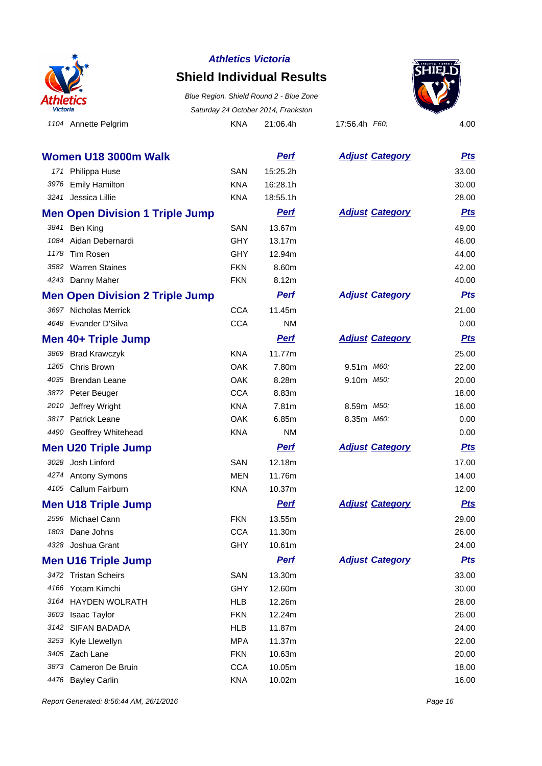

### **Shield Individual Results**





**Women U18 3000m Walk Perf Perf** 171 Philippa Huse SAN 15:25.2h 3976 Emily Hamilton **KNA** 16:28.1h 3241 Jessica Lillie **KNA** 18:55.1h **Men Open Division 1 Triple Jump Perf** 3841 Ben King **SAN** 13.67m 1084 Aidan Debernardi GHY 13.17m 1178 Tim Rosen GHY 12.94m 3582 Warren Staines **FKN** 8.60m 4243 Danny Maher **FKN** 8.12m **Men Open Division 2 Triple Jump Perf** 3697 Nicholas Merrick CCA 11.45m 4648 Evander D'Silva **CCA** NM **Men 40+ Triple Jump Perf Perf** 3869 Brad Krawczyk KNA 11.77m 1265 Chris Brown CAK 7.80m 4035 Brendan Leane **CAK** 8.28m 3872 Peter Beuger CCA 8.83m 2010 Jeffrey Wright **KNA** 7.81m 3817 Patrick Leane COAK 6.85m 4490 Geoffrey Whitehead KNA KNA **Men U20 Triple Jump Perf** 3028 Josh Linford SAN 12.18m 4274 Antony Symons MEN 11.76m 4105 Callum Fairburn **KNA** 10.37m **Men U18 Triple Jump Perf Perf** 2596 Michael Cann **FKN** 13.55m 1803 Dane Johns **CCA** 11.30m 4328 Joshua Grant GHY 10.61m **Men U16 Triple Jump Perf Perf** 3472 Tristan Scheirs SAN 13.30m 4166 Yotam Kimchi GHY 4166 Yotam Kimchi 3164 HAYDEN WOLRATH HLB 12.26m 3603 Isaac Taylor **FKN** 12.24m 3142 SIFAN BADADA HLB 11.87m 3253 Kyle Llewellyn **MPA** 11.37m 3405 Zach Lane **FKN** 10.63m 3873 Cameron De Bruin CCA 10.05m

4476 Bayley Carlin **10.02m** KNA 10.02m

| <b>Adjust Category</b> | Pts        |
|------------------------|------------|
|                        | 33.00      |
|                        | 30.00      |
|                        | 28.00      |
| <b>Adjust Category</b> | <u>Pts</u> |
|                        | 49.00      |
|                        | 46.00      |
|                        | 44.00      |
|                        | 42.00      |
|                        | 40.00      |
| <b>Adjust Category</b> | <b>Pts</b> |
|                        | 21.00      |
|                        | 0.00       |
| <b>Adjust Category</b> | <b>Pts</b> |
|                        | 25.00      |
| 9.51m M60;             | 22.00      |
| 9.10m M50;             | 20.00      |
|                        | 18.00      |
| 8.59m <i>M50;</i>      | 16.00      |
| 8.35m <i>M60;</i>      | 0.00       |
|                        | 0.00       |
| <b>Adjust Category</b> | <u>Pts</u> |
|                        | 17.00      |
|                        | 14.00      |
|                        | 12.00      |
| <b>Adjust Category</b> | <u>Pts</u> |
|                        | 29.00      |
|                        | 26.00      |
|                        | 24.00      |
| <b>Adjust Category</b> | <u>Pts</u> |
|                        | 33.00      |
|                        | 30.00      |
|                        | 28.00      |
|                        | 26.00      |
|                        | 24.00      |
|                        | 22.00      |
|                        | 20.00      |
|                        | 18.00      |
|                        | 16.00      |

Report Generated: 8:56:44 AM, 26/1/2016 **Page 16** Assets and the extendion of the extendion of the extendion of the extendion of the extendion of the extendion of the extendion of the extendion of the extendion of the exte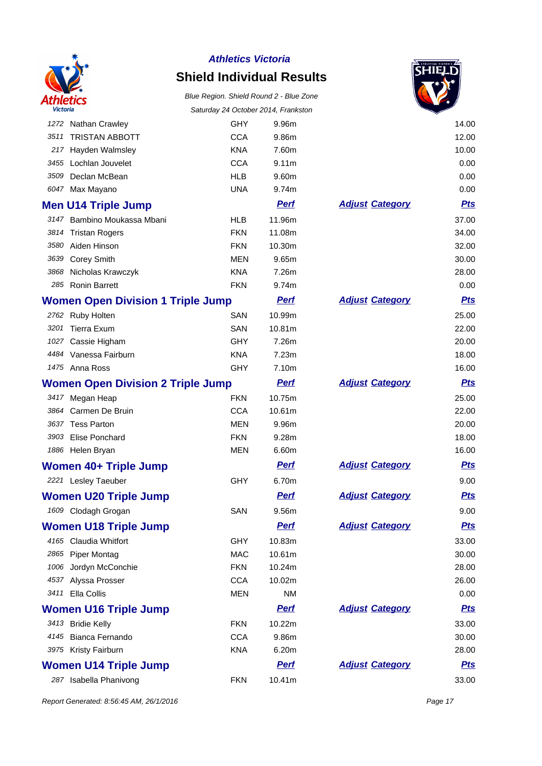

### **Shield Individual Results**



|                                          |                                          |            | Saturday 24 October 2014, Frankston |                        | ✓          |
|------------------------------------------|------------------------------------------|------------|-------------------------------------|------------------------|------------|
|                                          | 1272 Nathan Crawley                      | <b>GHY</b> | 9.96m                               |                        | 14.00      |
| 3511                                     | <b>TRISTAN ABBOTT</b>                    | <b>CCA</b> | 9.86m                               |                        | 12.00      |
| 217                                      | Hayden Walmsley                          | <b>KNA</b> | 7.60m                               |                        | 10.00      |
|                                          | 3455 Lochlan Jouvelet                    | <b>CCA</b> | 9.11 <sub>m</sub>                   |                        | 0.00       |
| 3509                                     | Declan McBean                            | <b>HLB</b> | 9.60m                               |                        | 0.00       |
|                                          | 6047 Max Mayano                          | <b>UNA</b> | 9.74m                               |                        | 0.00       |
|                                          | <b>Men U14 Triple Jump</b>               |            | <b>Perf</b>                         | <b>Adjust Category</b> | <b>Pts</b> |
|                                          | 3147 Bambino Moukassa Mbani              | <b>HLB</b> | 11.96m                              |                        | 37.00      |
|                                          | 3814 Tristan Rogers                      | <b>FKN</b> | 11.08m                              |                        | 34.00      |
|                                          | 3580 Aiden Hinson                        | <b>FKN</b> | 10.30m                              |                        | 32.00      |
| 3639                                     | <b>Corey Smith</b>                       | <b>MEN</b> | 9.65m                               |                        | 30.00      |
| 3868                                     | Nicholas Krawczyk                        | <b>KNA</b> | 7.26m                               |                        | 28.00      |
|                                          | 285 Ronin Barrett                        | <b>FKN</b> | 9.74m                               |                        | 0.00       |
|                                          | <b>Women Open Division 1 Triple Jump</b> |            | <b>Perf</b>                         | <b>Adjust Category</b> | <u>Pts</u> |
|                                          | 2762 Ruby Holten                         | <b>SAN</b> | 10.99m                              |                        | 25.00      |
| 3201                                     | Tierra Exum                              | SAN        | 10.81m                              |                        | 22.00      |
|                                          | 1027 Cassie Higham                       | <b>GHY</b> | 7.26m                               |                        | 20.00      |
|                                          | 4484 Vanessa Fairburn                    | <b>KNA</b> | 7.23m                               |                        | 18.00      |
|                                          | 1475 Anna Ross                           | <b>GHY</b> | 7.10m                               |                        | 16.00      |
| <b>Women Open Division 2 Triple Jump</b> |                                          |            | <b>Perf</b>                         | <b>Adjust Category</b> | <u>Pts</u> |
|                                          | 3417 Megan Heap                          | <b>FKN</b> | 10.75m                              |                        | 25.00      |
| 3864                                     | Carmen De Bruin                          | <b>CCA</b> | 10.61m                              |                        | 22.00      |
|                                          | 3637 Tess Parton                         | <b>MEN</b> | 9.96m                               |                        | 20.00      |
|                                          | 3903 Elise Ponchard                      | <b>FKN</b> | 9.28m                               |                        | 18.00      |
|                                          | 1886 Helen Bryan                         | MEN        | 6.60m                               |                        | 16.00      |
|                                          | <b>Women 40+ Triple Jump</b>             |            | <b>Perf</b>                         | <b>Adjust Category</b> | <u>Pts</u> |
|                                          | 2221 Lesley Taeuber                      | <b>GHY</b> | 6.70m                               |                        | 9.00       |
|                                          | <b>Women U20 Triple Jump</b>             |            | <b>Perf</b>                         | <b>Adjust Category</b> | <u>Pts</u> |
|                                          | 1609 Clodagh Grogan                      | SAN        | 9.56m                               |                        | 9.00       |
|                                          | <b>Women U18 Triple Jump</b>             |            | <b>Perf</b>                         | <b>Adjust Category</b> | <u>Pts</u> |
|                                          | 4165 Claudia Whitfort                    | <b>GHY</b> | 10.83m                              |                        | 33.00      |
|                                          | 2865 Piper Montag                        | <b>MAC</b> | 10.61m                              |                        | 30.00      |
|                                          | 1006 Jordyn McConchie                    | <b>FKN</b> | 10.24m                              |                        | 28.00      |
|                                          | 4537 Alyssa Prosser                      | <b>CCA</b> | 10.02m                              |                        | 26.00      |
|                                          | 3411 Ella Collis                         | <b>MEN</b> | <b>NM</b>                           |                        | 0.00       |
|                                          | <b>Women U16 Triple Jump</b>             |            | <b>Perf</b>                         | <b>Adjust Category</b> | <u>Pts</u> |
|                                          | 3413 Bridie Kelly                        | <b>FKN</b> | 10.22m                              |                        | 33.00      |
| 4145                                     | Bianca Fernando                          | <b>CCA</b> | 9.86m                               |                        | 30.00      |
|                                          | 3975 Kristy Fairburn                     | <b>KNA</b> | 6.20m                               |                        | 28.00      |
|                                          | <b>Women U14 Triple Jump</b>             |            | <b>Perf</b>                         | <b>Adjust Category</b> | <u>Pts</u> |
|                                          | 287 Isabella Phanivong                   | <b>FKN</b> | 10.41m                              |                        | 33.00      |
|                                          |                                          |            |                                     |                        |            |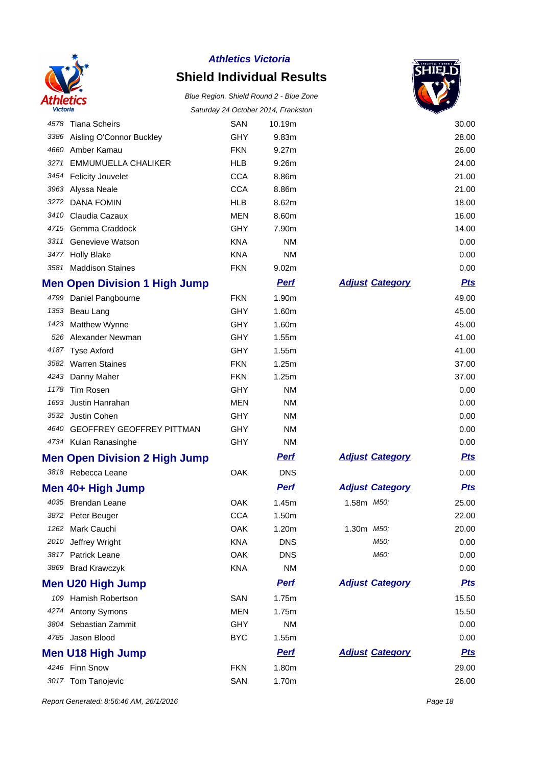

# **Shield Individual Results**

#### Blue Region. Shield Round 2 - Blue Zone Saturday 24 October 2014, Frankston



|      |                                      |            |             |                        | ▽          |
|------|--------------------------------------|------------|-------------|------------------------|------------|
| 4578 | <b>Tiana Scheirs</b>                 | SAN        | 10.19m      |                        | 30.00      |
| 3386 | Aisling O'Connor Buckley             | <b>GHY</b> | 9.83m       |                        | 28.00      |
|      | 4660 Amber Kamau                     | <b>FKN</b> | 9.27m       |                        | 26.00      |
| 3271 | <b>EMMUMUELLA CHALIKER</b>           | <b>HLB</b> | 9.26m       |                        | 24.00      |
| 3454 | <b>Felicity Jouvelet</b>             | <b>CCA</b> | 8.86m       |                        | 21.00      |
| 3963 | Alyssa Neale                         | <b>CCA</b> | 8.86m       |                        | 21.00      |
| 3272 | <b>DANA FOMIN</b>                    | <b>HLB</b> | 8.62m       |                        | 18.00      |
| 3410 | Claudia Cazaux                       | <b>MEN</b> | 8.60m       |                        | 16.00      |
|      | 4715 Gemma Craddock                  | GHY        | 7.90m       |                        | 14.00      |
| 3311 | Genevieve Watson                     | <b>KNA</b> | <b>NM</b>   |                        | 0.00       |
| 3477 | <b>Holly Blake</b>                   | <b>KNA</b> | <b>NM</b>   |                        | 0.00       |
| 3581 | <b>Maddison Staines</b>              | <b>FKN</b> | 9.02m       |                        | 0.00       |
|      | <b>Men Open Division 1 High Jump</b> |            | <b>Pert</b> | <b>Adjust Category</b> | <b>Pts</b> |
|      | 4799 Daniel Pangbourne               | <b>FKN</b> | 1.90m       |                        | 49.00      |
|      | 1353 Beau Lang                       | <b>GHY</b> | 1.60m       |                        | 45.00      |
|      | 1423 Matthew Wynne                   | <b>GHY</b> | 1.60m       |                        | 45.00      |
|      | 526 Alexander Newman                 | <b>GHY</b> | 1.55m       |                        | 41.00      |
|      | 4187 Tyse Axford                     | GHY        | 1.55m       |                        | 41.00      |
|      | 3582 Warren Staines                  | <b>FKN</b> | 1.25m       |                        | 37.00      |
| 4243 | Danny Maher                          | <b>FKN</b> | 1.25m       |                        | 37.00      |
| 1178 | <b>Tim Rosen</b>                     | <b>GHY</b> | <b>NM</b>   |                        | 0.00       |
| 1693 | Justin Hanrahan                      | <b>MEN</b> | <b>NM</b>   |                        | 0.00       |
| 3532 | Justin Cohen                         | <b>GHY</b> | <b>NM</b>   |                        | 0.00       |
|      | 4640 GEOFFREY GEOFFREY PITTMAN       | <b>GHY</b> | <b>NM</b>   |                        | 0.00       |
|      | 4734 Kulan Ranasinghe                | GHY        | <b>NM</b>   |                        | 0.00       |
|      | <b>Men Open Division 2 High Jump</b> |            | <b>Perf</b> | <b>Adjust Category</b> | <b>Pts</b> |
|      | 3818 Rebecca Leane                   | <b>OAK</b> | <b>DNS</b>  |                        | 0.00       |
|      | Men 40+ High Jump                    |            | <b>Perf</b> | <b>Adjust Category</b> | <u>Pts</u> |
|      | 4035 Brendan Leane                   | OAK        | 1.45m       | 1.58m M50;             | 25.00      |
|      | 3872 Peter Beuger                    | <b>CCA</b> | 1.50m       |                        | 22.00      |
| 1262 | Mark Cauchi                          | OAK        | 1.20m       | 1.30m M50;             | 20.00      |
| 2010 | Jeffrey Wright                       | <b>KNA</b> | <b>DNS</b>  | M50;                   | 0.00       |
| 3817 | <b>Patrick Leane</b>                 | OAK        | <b>DNS</b>  | M60;                   | 0.00       |
| 3869 | <b>Brad Krawczyk</b>                 | <b>KNA</b> | <b>NM</b>   |                        | 0.00       |
|      | <b>Men U20 High Jump</b>             |            | <b>Perf</b> | <b>Adjust Category</b> | <u>Pts</u> |
| 109  | Hamish Robertson                     | SAN        | 1.75m       |                        | 15.50      |
|      | 4274 Antony Symons                   | <b>MEN</b> | 1.75m       |                        | 15.50      |
| 3804 | Sebastian Zammit                     | GHY        | <b>NM</b>   |                        | 0.00       |
|      | 4785 Jason Blood                     | <b>BYC</b> | 1.55m       |                        | 0.00       |
|      | <b>Men U18 High Jump</b>             |            | <b>Perf</b> | <b>Adjust Category</b> | <u>Pts</u> |
|      | 4246 Finn Snow                       | <b>FKN</b> | 1.80m       |                        | 29.00      |
|      | 3017 Tom Tanojevic                   | SAN        | 1.70m       |                        | 26.00      |
|      |                                      |            |             |                        |            |

Report Generated: 8:56:46 AM, 26/1/2016 **Page 18**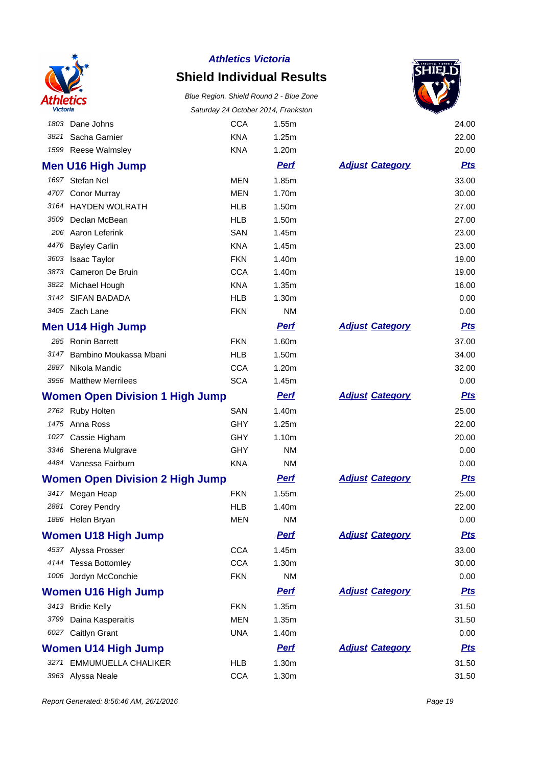

### **Shield Individual Results**

Blue Region. Shield Round 2 - Blue Zone Saturday 24 October 2014, Frankston



|      | 1803 Dane Johns                        | <b>CCA</b> | 1.55m       |                        | 24.00      |
|------|----------------------------------------|------------|-------------|------------------------|------------|
|      | 3821 Sacha Garnier                     | <b>KNA</b> | 1.25m       |                        | 22.00      |
|      | 1599 Reese Walmsley                    | <b>KNA</b> | 1.20m       |                        | 20.00      |
|      | Men U16 High Jump                      |            | <b>Perf</b> | <b>Adjust Category</b> | <u>Pts</u> |
|      | 1697 Stefan Nel                        | <b>MEN</b> | 1.85m       |                        | 33.00      |
|      | 4707 Conor Murray                      | <b>MEN</b> | 1.70m       |                        | 30.00      |
|      | 3164 HAYDEN WOLRATH                    | <b>HLB</b> | 1.50m       |                        | 27.00      |
| 3509 | Declan McBean                          | <b>HLB</b> | 1.50m       |                        | 27.00      |
|      | 206 Aaron Leferink                     | SAN        | 1.45m       |                        | 23.00      |
|      | 4476 Bayley Carlin                     | <b>KNA</b> | 1.45m       |                        | 23.00      |
|      | 3603 Isaac Taylor                      | <b>FKN</b> | 1.40m       |                        | 19.00      |
| 3873 | Cameron De Bruin                       | <b>CCA</b> | 1.40m       |                        | 19.00      |
|      | 3822 Michael Hough                     | <b>KNA</b> | 1.35m       |                        | 16.00      |
|      | 3142 SIFAN BADADA                      | <b>HLB</b> | 1.30m       |                        | 0.00       |
|      | 3405 Zach Lane                         | <b>FKN</b> | <b>NM</b>   |                        | 0.00       |
|      | Men U14 High Jump                      |            | <b>Perf</b> | <b>Adjust Category</b> | <u>Pts</u> |
|      | 285 Ronin Barrett                      | <b>FKN</b> | 1.60m       |                        | 37.00      |
|      | 3147 Bambino Moukassa Mbani            | <b>HLB</b> | 1.50m       |                        | 34.00      |
|      | 2887 Nikola Mandic                     | <b>CCA</b> | 1.20m       |                        | 32.00      |
|      | 3956 Matthew Merrilees                 | <b>SCA</b> | 1.45m       |                        | 0.00       |
|      | <b>Women Open Division 1 High Jump</b> |            | <b>Pert</b> | <b>Adjust Category</b> | <u>Pts</u> |
|      | 2762 Ruby Holten                       | SAN        | 1.40m       |                        | 25.00      |
|      | 1475 Anna Ross                         | <b>GHY</b> | 1.25m       |                        | 22.00      |
|      | 1027 Cassie Higham                     | <b>GHY</b> | 1.10m       |                        | 20.00      |
|      | 3346 Sherena Mulgrave                  | GHY        | <b>NM</b>   |                        | 0.00       |
|      | 4484 Vanessa Fairburn                  | <b>KNA</b> | <b>NM</b>   |                        | 0.00       |
|      | <b>Women Open Division 2 High Jump</b> |            | <b>Perf</b> | <b>Adjust Category</b> | <u>Pts</u> |
|      | 3417 Megan Heap                        | <b>FKN</b> | 1.55m       |                        | 25.00      |
| 2881 | <b>Corey Pendry</b>                    | <b>HLB</b> | 1.40m       |                        | 22.00      |
|      | 1886 Helen Bryan                       | <b>MEN</b> | NM          |                        | 0.00       |
|      | <b>Women U18 High Jump</b>             |            | <b>Perf</b> | <b>Adjust Category</b> | <u>Pts</u> |
|      | 4537 Alyssa Prosser                    | <b>CCA</b> | 1.45m       |                        | 33.00      |
|      | 4144 Tessa Bottomley                   | <b>CCA</b> | 1.30m       |                        | 30.00      |
|      | 1006 Jordyn McConchie                  | <b>FKN</b> | <b>NM</b>   |                        | 0.00       |
|      | <b>Women U16 High Jump</b>             |            | <b>Perf</b> | <b>Adjust Category</b> | <u>Pts</u> |
|      | 3413 Bridie Kelly                      | <b>FKN</b> | 1.35m       |                        | 31.50      |
|      | 3799 Daina Kasperaitis                 | <b>MEN</b> | 1.35m       |                        | 31.50      |
|      | 6027 Caitlyn Grant                     | <b>UNA</b> | 1.40m       |                        | 0.00       |
|      |                                        |            | <b>Perf</b> | <b>Adjust Category</b> | <u>Pts</u> |
|      | <b>Women U14 High Jump</b>             |            |             |                        |            |
|      | 3271 EMMUMUELLA CHALIKER               | <b>HLB</b> | 1.30m       |                        | 31.50      |
|      | 3963 Alyssa Neale                      | <b>CCA</b> | 1.30m       |                        | 31.50      |

Report Generated: 8:56:46 AM, 26/1/2016 **Page 19**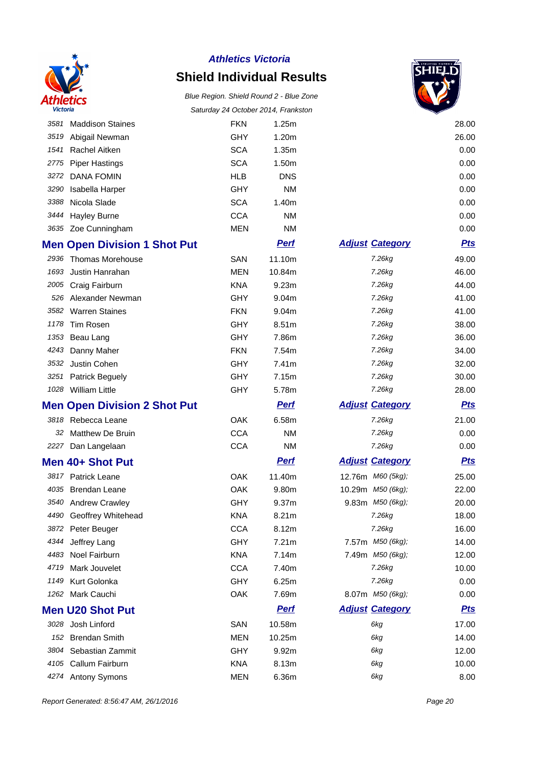

## **Shield Individual Results**



| victoria |                                     | Saturday 24 October 2014, Frankston |             |                        |            |
|----------|-------------------------------------|-------------------------------------|-------------|------------------------|------------|
| 3581     | <b>Maddison Staines</b>             | <b>FKN</b>                          | 1.25m       |                        | 28.00      |
| 3519     | Abigail Newman                      | <b>GHY</b>                          | 1.20m       |                        | 26.00      |
| 1541     | Rachel Aitken                       | <b>SCA</b>                          | 1.35m       |                        | 0.00       |
| 2775     | <b>Piper Hastings</b>               | <b>SCA</b>                          | 1.50m       |                        | 0.00       |
| 3272     | <b>DANA FOMIN</b>                   | <b>HLB</b>                          | <b>DNS</b>  |                        | 0.00       |
| 3290     | Isabella Harper                     | <b>GHY</b>                          | <b>NM</b>   |                        | 0.00       |
| 3388     | Nicola Slade                        | <b>SCA</b>                          | 1.40m       |                        | 0.00       |
| 3444     | <b>Hayley Burne</b>                 | <b>CCA</b>                          | <b>NM</b>   |                        | 0.00       |
|          | 3635 Zoe Cunningham                 | <b>MEN</b>                          | <b>NM</b>   |                        | 0.00       |
|          | <b>Men Open Division 1 Shot Put</b> |                                     | <b>Pert</b> | <b>Adjust Category</b> | <u>Pts</u> |
| 2936     | <b>Thomas Morehouse</b>             | SAN                                 | 11.10m      | 7.26kg                 | 49.00      |
| 1693     | Justin Hanrahan                     | <b>MEN</b>                          | 10.84m      | 7.26kg                 | 46.00      |
| 2005     | Craig Fairburn                      | <b>KNA</b>                          | 9.23m       | 7.26kg                 | 44.00      |
| 526      | Alexander Newman                    | <b>GHY</b>                          | 9.04m       | 7.26kg                 | 41.00      |
| 3582     | <b>Warren Staines</b>               | <b>FKN</b>                          | 9.04m       | 7.26kg                 | 41.00      |
| 1178     | Tim Rosen                           | <b>GHY</b>                          | 8.51m       | 7.26kg                 | 38.00      |
| 1353     | Beau Lang                           | <b>GHY</b>                          | 7.86m       | 7.26kg                 | 36.00      |
| 4243     | Danny Maher                         | <b>FKN</b>                          | 7.54m       | 7.26kg                 | 34.00      |
| 3532     | Justin Cohen                        | <b>GHY</b>                          | 7.41m       | 7.26kg                 | 32.00      |
| 3251     | <b>Patrick Beguely</b>              | <b>GHY</b>                          | 7.15m       | 7.26kg                 | 30.00      |
|          | 1028 William Little                 | <b>GHY</b>                          | 5.78m       | 7.26kg                 | 28.00      |
|          | <b>Men Open Division 2 Shot Put</b> |                                     | <u>Perf</u> | <b>Adjust Category</b> | <u>Pts</u> |
| 3818     | Rebecca Leane                       | OAK                                 | 6.58m       | 7.26kg                 | 21.00      |
| 32       | <b>Matthew De Bruin</b>             | <b>CCA</b>                          | <b>NM</b>   | 7.26kg                 | 0.00       |
| 2227     | Dan Langelaan                       | <b>CCA</b>                          | <b>NM</b>   | 7.26kg                 | 0.00       |
|          | Men 40+ Shot Put                    |                                     | <u>Perf</u> | <b>Adjust Category</b> | <u>Pts</u> |
|          | 3817 Patrick Leane                  |                                     |             |                        |            |
|          |                                     | OAK                                 | 11.40m      | 12.76m M60 (5kg);      | 25.00      |
|          | 4035 Brendan Leane                  | OAK                                 | 9.80m       | 10.29m M50 (6kg);      | 22.00      |
|          | 3540 Andrew Crawley                 | GHY                                 | 9.37m       | 9.83m M50 (6kg);       | 20.00      |
|          | 4490 Geoffrey Whitehead             | <b>KNA</b>                          | 8.21m       | 7.26kg                 | 18.00      |
|          | 3872 Peter Beuger                   | <b>CCA</b>                          | 8.12m       | 7.26kg                 | 16.00      |
| 4344     | Jeffrey Lang                        | <b>GHY</b>                          | 7.21m       | 7.57m M50 (6kg);       | 14.00      |
| 4483     | Noel Fairburn                       | <b>KNA</b>                          | 7.14m       | 7.49m M50 (6kg);       | 12.00      |
| 4719     | Mark Jouvelet                       | <b>CCA</b>                          | 7.40m       | 7.26kg                 | 10.00      |
| 1149     | Kurt Golonka                        | <b>GHY</b>                          | 6.25m       | 7.26kg                 | 0.00       |
| 1262     | Mark Cauchi                         | OAK                                 | 7.69m       | 8.07m M50 (6kg);       | 0.00       |
|          | <b>Men U20 Shot Put</b>             |                                     | <b>Pert</b> | <b>Adjust Category</b> | <u>Pts</u> |
| 3028     | Josh Linford                        | SAN                                 | 10.58m      | 6kg                    | 17.00      |
| 152      | <b>Brendan Smith</b>                | <b>MEN</b>                          | 10.25m      | 6kg                    | 14.00      |
| 3804     | Sebastian Zammit                    | GHY                                 | 9.92m       | 6kg                    | 12.00      |
| 4105     | Callum Fairburn                     | <b>KNA</b>                          | 8.13m       | 6kg                    | 10.00      |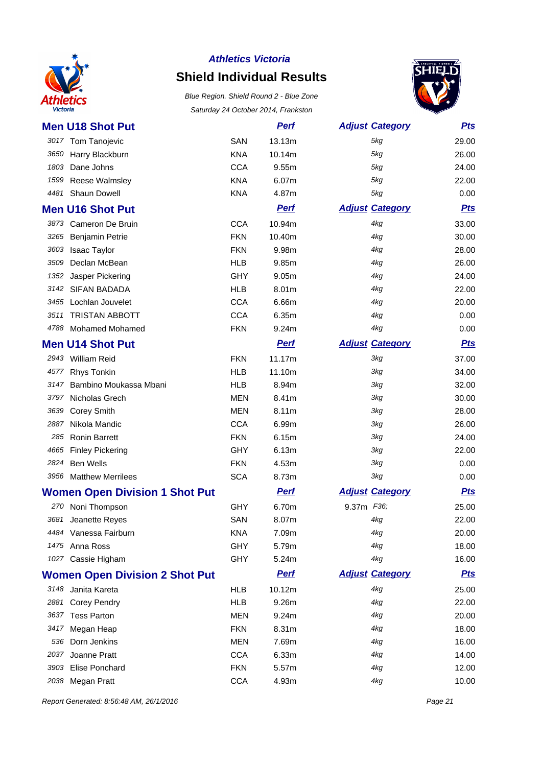

# **Shield Individual Results**

Blue Region. Shield Round 2 - Blue Zone Saturday 24 October 2014, Frankston



| <b>Men U18 Shot Put</b>               |            | <b>Pert</b> | <b>Adjust Category</b> | <b>Pts</b> |
|---------------------------------------|------------|-------------|------------------------|------------|
| 3017 Tom Tanojevic                    | <b>SAN</b> | 13.13m      | 5kg                    | 29.00      |
| 3650 Harry Blackburn                  | <b>KNA</b> | 10.14m      | 5kg                    | 26.00      |
| 1803<br>Dane Johns                    | <b>CCA</b> | 9.55m       | 5kg                    | 24.00      |
| Reese Walmsley<br>1599                | <b>KNA</b> | 6.07m       | 5kg                    | 22.00      |
| Shaun Dowell<br>4481                  | <b>KNA</b> | 4.87m       | 5kg                    | 0.00       |
| <b>Men U16 Shot Put</b>               |            | <b>Pert</b> | <b>Adjust Category</b> | <b>Pts</b> |
| Cameron De Bruin<br>3873              | <b>CCA</b> | 10.94m      | 4kg                    | 33.00      |
| <b>Benjamin Petrie</b><br>3265        | <b>FKN</b> | 10.40m      | 4kg                    | 30.00      |
| 3603<br>Isaac Taylor                  | <b>FKN</b> | 9.98m       | 4kg                    | 28.00      |
| Declan McBean<br>3509                 | <b>HLB</b> | 9.85m       | 4kg                    | 26.00      |
| 1352<br>Jasper Pickering              | <b>GHY</b> | 9.05m       | 4kg                    | 24.00      |
| 3142 SIFAN BADADA                     | <b>HLB</b> | 8.01m       | 4kg                    | 22.00      |
| 3455 Lochlan Jouvelet                 | <b>CCA</b> | 6.66m       | 4kg                    | 20.00      |
| 3511<br><b>TRISTAN ABBOTT</b>         | <b>CCA</b> | 6.35m       | 4kg                    | 0.00       |
| 4788 Mohamed Mohamed                  | <b>FKN</b> | 9.24m       | 4kg                    | 0.00       |
| <b>Men U14 Shot Put</b>               |            | <b>Pert</b> | <b>Adjust Category</b> | <b>Pts</b> |
| 2943 William Reid                     | <b>FKN</b> | 11.17m      | 3kg                    | 37.00      |
| <b>Rhys Tonkin</b><br>4577            | <b>HLB</b> | 11.10m      | 3kg                    | 34.00      |
| Bambino Moukassa Mbani<br>3147        | <b>HLB</b> | 8.94m       | 3kg                    | 32.00      |
| 3797<br>Nicholas Grech                | <b>MEN</b> | 8.41m       | 3kg                    | 30.00      |
| 3639<br><b>Corey Smith</b>            | <b>MEN</b> | 8.11m       | 3kg                    | 28.00      |
| 2887<br>Nikola Mandic                 | <b>CCA</b> | 6.99m       | 3kg                    | 26.00      |
| <b>Ronin Barrett</b><br>285           | <b>FKN</b> | 6.15m       | 3kg                    | 24.00      |
| 4665<br><b>Finley Pickering</b>       | <b>GHY</b> | 6.13m       | 3kg                    | 22.00      |
| 2824<br><b>Ben Wells</b>              | <b>FKN</b> | 4.53m       | 3kg                    | 0.00       |
| 3956 Matthew Merrilees                | <b>SCA</b> | 8.73m       | 3kg                    | 0.00       |
| <b>Women Open Division 1 Shot Put</b> |            | <b>Perf</b> | <b>Adjust Category</b> | <b>Pts</b> |
| 270 Noni Thompson                     | <b>GHY</b> | 6.70m       | 9.37m F36;             | 25.00      |
| 3681 Jeanette Reyes                   | SAN        | 8.07m       | 4kg                    | 22.00      |
| 4484 Vanessa Fairburn                 | KNA        | 7.09m       | 4kg                    | 20.00      |
| 1475 Anna Ross                        | <b>GHY</b> | 5.79m       | 4kg                    | 18.00      |
| 1027 Cassie Higham                    | <b>GHY</b> | 5.24m       | 4kg                    | 16.00      |
| <b>Women Open Division 2 Shot Put</b> |            | <b>Perf</b> | <b>Adjust Category</b> | <u>Pts</u> |
| 3148 Janita Kareta                    | <b>HLB</b> | 10.12m      | 4kg                    | 25.00      |
| 2881 Corey Pendry                     | <b>HLB</b> | 9.26m       | 4kg                    | 22.00      |
| 3637 Tess Parton                      | <b>MEN</b> | 9.24m       | 4kg                    | 20.00      |
| 3417 Megan Heap                       | <b>FKN</b> | 8.31m       | 4kg                    | 18.00      |
| 536 Dorn Jenkins                      | <b>MEN</b> | 7.69m       | 4kg                    | 16.00      |
| 2037 Joanne Pratt                     | <b>CCA</b> | 6.33m       | 4kg                    | 14.00      |
| 3903 Elise Ponchard                   | <b>FKN</b> | 5.57m       | 4kg                    | 12.00      |
|                                       |            |             | 4kg                    |            |
| 2038 Megan Pratt                      | <b>CCA</b> | 4.93m       |                        | 10.00      |

Report Generated: 8:56:48 AM, 26/1/2016 **Page 21**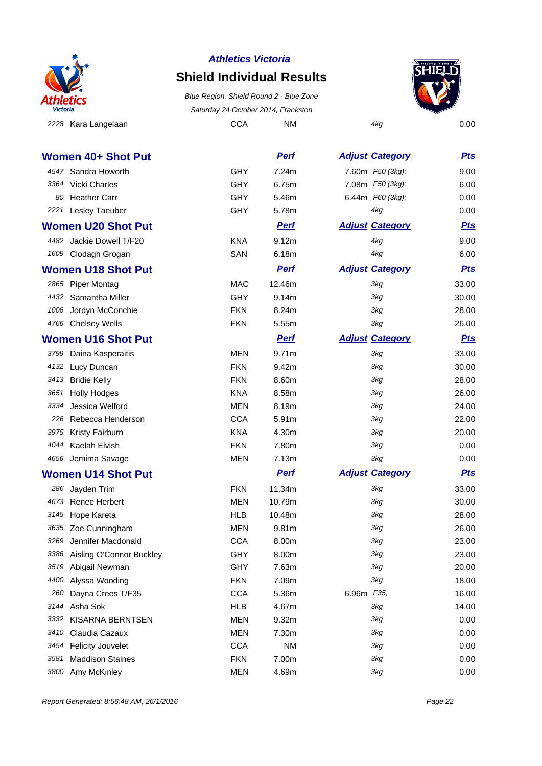

### **Shield Individual Results**

2228 Kara Langelaan aan aan and CCA NM 4kg 4kg 0.00 Blue Region. Shield Round 2 - Blue Zone Saturday 24 October 2014, Frankston



**Women 40+ Shot Put Perf Perf Adjust Category Pts** 4547 Sandra Howorth GHY 7.24m 7.60m F50 (3kg); 9.00 3364 Vicki Charles **GHY** 6.75m 7.08m *F50 (3kg)*; 6.00 80 Heather Carr GHY 5.46m 6.44m F60 (3kg); 0.00 2221 Lesley Taeuber CHY 5.78m 4kg 0.00 **Women U20 Shot Put Put Perf Perf Adjust Category Pts** 4482 Jackie Dowell T/F20 KNA 9.12m 4kg 4482 Jackie Dowell T/F20 1609 Clodagh Grogan **SAN** 6.18m 4kg 6.00 **Women U18 Shot Put Put Perf Perf Adjust Category Pts** 2865 Piper Montag **MAC** 12.46m 3kg 33.00 4432 Samantha Miller CHY 9.14m 3kg 30.00 1006 Jordyn McConchie FKN 8.24m 3kg 28.00 4766 Chelsey Wells FKN 5.55m 3kg 26.00 **Women U16 Shot Put Perf Put Perf Adjust** Category **Pts** 3799 Daina Kasperaitis **MEN** 9.71m 3kg 33.00 4132 Lucy Duncan **1132 Lucy Duncan FKN** 9.42m 36.00 3413 Bridie Kelly FKN 8.60m 3kg 28.00 3651 Holly Hodges KNA 8.58m 3kg 26.00 3334 Jessica Welford MEN 8.19m 3kg 24.00 226 Rebecca Henderson CCA 5.91m 3kg 3kg 22.00 3975 Kristy Fairburn KNA 4.30m 3kg 20.00 4044 Kaelah Elvish FKN 7.80m 3kg 0.00 4656 Jemima Savage **MEN** 7.13m 3kg 3kg 0.00 **Women U14 Shot Put Put Perf Perf Adjust Category Pts** 286 Jayden Trim **11.34m** 3kg 33.00 4673 Renee Herbert **MEN** 10.79m 3kg 30.00 3145 Hope Kareta HLB 10.48m 3kg 28.00 3635 Zoe Cunningham MEN 9.81m 3kg 26.00 3269 Jennifer Macdonald CCA 8.00m 3kg 3269 Jennifer Macdonald CCA 8.00m 3386 Aisling O'Connor Buckley GHY 8.00m 3kg 23.00 3519 Abigail Newman **CHY** 7.63m 3kg 3519 Abigail Newman 20.00 4400 Alyssa Wooding **FKN** 7.09m 3kg 3kg 18.00 260 Dayna Crees T/F35 CCA 5.36m 6.96m F35; 16.00 3144 Asha Sok **14.00 HLB** 14.67m 3kg 3144 Asha Sok 14.00 3332 KISARNA BERNTSEN MEN 9.32m 3kg 3kg 0.00 3410 Claudia Cazaux MEN 7.30m 3kg 0.00 3454 Felicity Jouvelet CCA NM 3kg 3454 Felicity Jouvelet 0.00 3581 Maddison Staines FKN 7.00m 3kg 0.00

3800 Amy McKinley Contract Contract MEN 4.69m 3kg 3800 Amy McKinley 0.00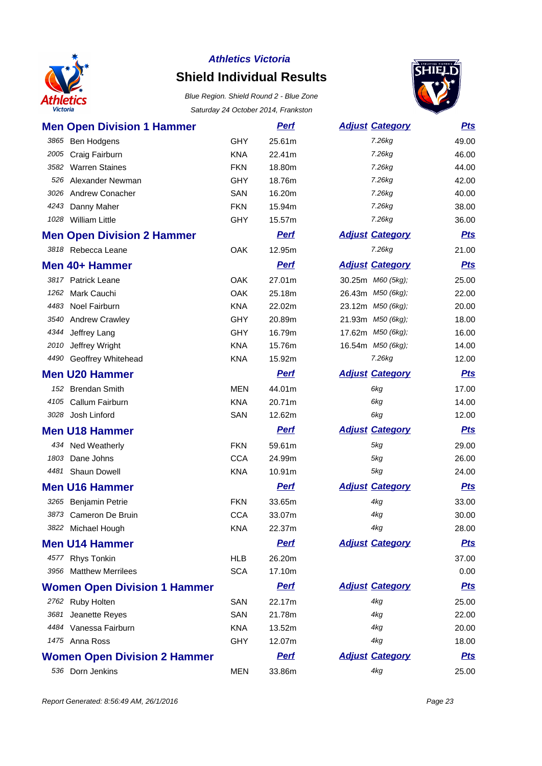

### **Shield Individual Results**



| <b>Men Open Division 1 Hammer</b>   |            | <b>Perf</b> | <b>Adjust Category</b> | <b>Pts</b> |
|-------------------------------------|------------|-------------|------------------------|------------|
| 3865<br>Ben Hodgens                 | <b>GHY</b> | 25.61m      | 7.26kg                 | 49.00      |
| 2005<br>Craig Fairburn              | <b>KNA</b> | 22.41m      | 7.26kg                 | 46.00      |
| <b>Warren Staines</b><br>3582       | <b>FKN</b> | 18.80m      | 7.26kg                 | 44.00      |
| Alexander Newman<br>526             | <b>GHY</b> | 18.76m      | 7.26kg                 | 42.00      |
| <b>Andrew Conacher</b><br>3026      | SAN        | 16.20m      | 7.26kg                 | 40.00      |
| 4243<br>Danny Maher                 | <b>FKN</b> | 15.94m      | 7.26kg                 | 38.00      |
| 1028 William Little                 | <b>GHY</b> | 15.57m      | 7.26kg                 | 36.00      |
| <b>Men Open Division 2 Hammer</b>   |            | <b>Perf</b> | <b>Adjust Category</b> | <b>Pts</b> |
| 3818 Rebecca Leane                  | <b>OAK</b> | 12.95m      | 7.26kg                 | 21.00      |
| Men 40+ Hammer                      |            | <b>Pert</b> | <b>Adjust Category</b> | <b>Pts</b> |
| 3817 Patrick Leane                  | <b>OAK</b> | 27.01m      | 30.25m M60 (5kg);      | 25.00      |
| Mark Cauchi<br>1262                 | <b>OAK</b> | 25.18m      | 26.43m M50 (6kg);      | 22.00      |
| 4483 Noel Fairburn                  | <b>KNA</b> | 22.02m      | 23.12m M50 (6kg);      | 20.00      |
| 3540<br><b>Andrew Crawley</b>       | <b>GHY</b> | 20.89m      | 21.93m M50 (6kg);      | 18.00      |
| 4344<br>Jeffrey Lang                | GHY        | 16.79m      | 17.62m M50 (6kg);      | 16.00      |
| 2010<br>Jeffrey Wright              | <b>KNA</b> | 15.76m      | 16.54m M50 (6kg);      | 14.00      |
| 4490<br>Geoffrey Whitehead          | <b>KNA</b> | 15.92m      | 7.26kg                 | 12.00      |
| <b>Men U20 Hammer</b>               |            | <b>Perf</b> | <b>Adjust Category</b> | <b>Pts</b> |
| <b>Brendan Smith</b><br>152         | <b>MEN</b> | 44.01m      | 6kg                    | 17.00      |
| Callum Fairburn<br>4105             | <b>KNA</b> | 20.71m      | 6kg                    | 14.00      |
| 3028 Josh Linford                   | SAN        | 12.62m      | 6kg                    | 12.00      |
| <b>Men U18 Hammer</b>               |            | <b>Perf</b> | <b>Adjust Category</b> | <b>Pts</b> |
| 434 Ned Weatherly                   | <b>FKN</b> | 59.61m      | 5kg                    | 29.00      |
| Dane Johns<br>1803                  | <b>CCA</b> | 24.99m      | 5kg                    | 26.00      |
| 4481<br>Shaun Dowell                | <b>KNA</b> | 10.91m      | 5kg                    | 24.00      |
| <b>Men U16 Hammer</b>               |            | <u>Perf</u> | <b>Adjust Category</b> | <b>Pts</b> |
| 3265 Benjamin Petrie                | <b>FKN</b> | 33.65m      | 4kg                    | 33.00      |
| 3873 Cameron De Bruin               | <b>CCA</b> | 33.07m      | 4kg                    | 30.00      |
| 3822 Michael Hough                  | <b>KNA</b> | 22.37m      | 4kg                    | 28.00      |
| <b>Men U14 Hammer</b>               |            | <b>Perf</b> | <b>Adjust Category</b> | <u>Pts</u> |
| 4577 Rhys Tonkin                    | <b>HLB</b> | 26.20m      |                        | 37.00      |
| 3956 Matthew Merrilees              | <b>SCA</b> | 17.10m      |                        | 0.00       |
| <b>Women Open Division 1 Hammer</b> |            | <b>Perf</b> | <b>Adjust Category</b> | <u>Pts</u> |
| 2762 Ruby Holten                    | SAN        | 22.17m      | 4kg                    | 25.00      |
| Jeanette Reyes<br>3681              | SAN        | 21.78m      | 4kg                    | 22.00      |
| 4484 Vanessa Fairburn               | <b>KNA</b> | 13.52m      | 4kg                    | 20.00      |
| 1475 Anna Ross                      | <b>GHY</b> | 12.07m      | 4kg                    | 18.00      |
| <b>Women Open Division 2 Hammer</b> |            | <u>Perf</u> | <b>Adjust Category</b> | <u>Pts</u> |
| 536 Dorn Jenkins                    | <b>MEN</b> | 33.86m      | 4kg                    | 25.00      |